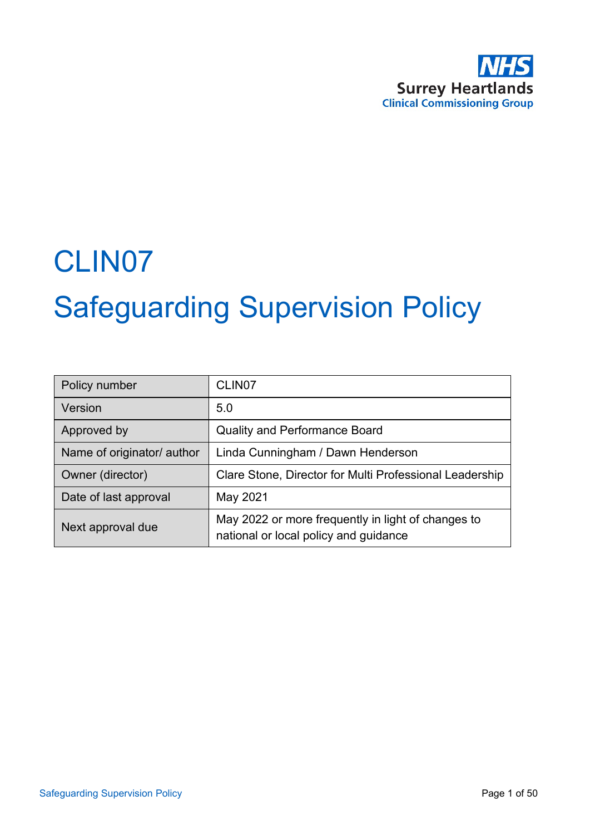

# CLIN07 Safeguarding Supervision Policy

| Policy number              | CLIN <sub>07</sub>                                                                          |
|----------------------------|---------------------------------------------------------------------------------------------|
| Version                    | 5.0                                                                                         |
| Approved by                | <b>Quality and Performance Board</b>                                                        |
| Name of originator/ author | Linda Cunningham / Dawn Henderson                                                           |
| Owner (director)           | Clare Stone, Director for Multi Professional Leadership                                     |
| Date of last approval      | May 2021                                                                                    |
| Next approval due          | May 2022 or more frequently in light of changes to<br>national or local policy and guidance |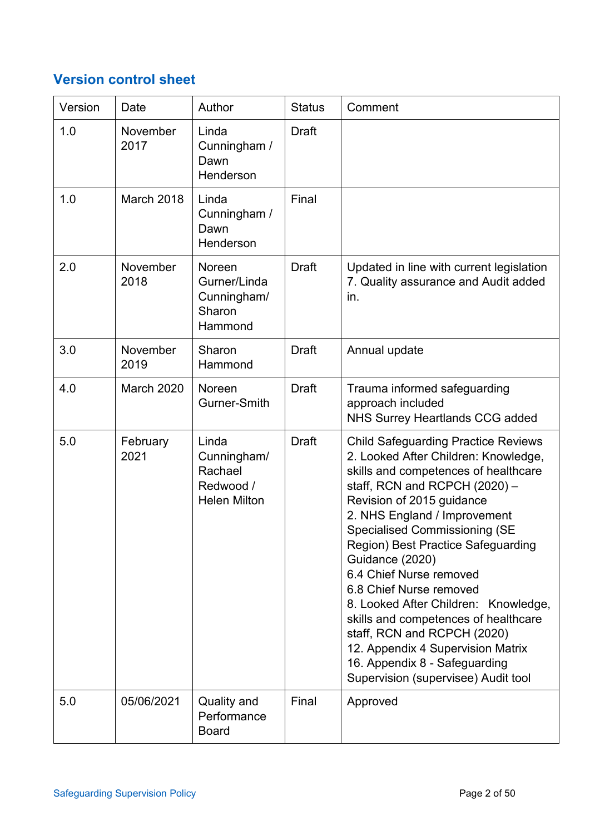# **Version control sheet**

| Version | Date              | Author                                                              | <b>Status</b> | Comment                                                                                                                                                                                                                                                                                                                                                                                                                                                                                                                                                                                                       |
|---------|-------------------|---------------------------------------------------------------------|---------------|---------------------------------------------------------------------------------------------------------------------------------------------------------------------------------------------------------------------------------------------------------------------------------------------------------------------------------------------------------------------------------------------------------------------------------------------------------------------------------------------------------------------------------------------------------------------------------------------------------------|
| 1.0     | November<br>2017  | Linda<br>Cunningham /<br>Dawn<br>Henderson                          | <b>Draft</b>  |                                                                                                                                                                                                                                                                                                                                                                                                                                                                                                                                                                                                               |
| 1.0     | March 2018        | Linda<br>Cunningham /<br>Dawn<br>Henderson                          | Final         |                                                                                                                                                                                                                                                                                                                                                                                                                                                                                                                                                                                                               |
| 2.0     | November<br>2018  | Noreen<br>Gurner/Linda<br>Cunningham/<br>Sharon<br>Hammond          | <b>Draft</b>  | Updated in line with current legislation<br>7. Quality assurance and Audit added<br>in.                                                                                                                                                                                                                                                                                                                                                                                                                                                                                                                       |
| 3.0     | November<br>2019  | Sharon<br>Hammond                                                   | <b>Draft</b>  | Annual update                                                                                                                                                                                                                                                                                                                                                                                                                                                                                                                                                                                                 |
| 4.0     | <b>March 2020</b> | Noreen<br>Gurner-Smith                                              | <b>Draft</b>  | Trauma informed safeguarding<br>approach included<br><b>NHS Surrey Heartlands CCG added</b>                                                                                                                                                                                                                                                                                                                                                                                                                                                                                                                   |
| 5.0     | February<br>2021  | Linda<br>Cunningham/<br>Rachael<br>Redwood /<br><b>Helen Milton</b> | <b>Draft</b>  | <b>Child Safeguarding Practice Reviews</b><br>2. Looked After Children: Knowledge,<br>skills and competences of healthcare<br>staff, RCN and RCPCH $(2020)$ -<br>Revision of 2015 guidance<br>2. NHS England / Improvement<br><b>Specialised Commissioning (SE</b><br>Region) Best Practice Safeguarding<br>Guidance (2020)<br>6.4 Chief Nurse removed<br>6.8 Chief Nurse removed<br>8. Looked After Children: Knowledge,<br>skills and competences of healthcare<br>staff, RCN and RCPCH (2020)<br>12. Appendix 4 Supervision Matrix<br>16. Appendix 8 - Safeguarding<br>Supervision (supervisee) Audit tool |
| 5.0     | 05/06/2021        | Quality and<br>Performance<br><b>Board</b>                          | Final         | Approved                                                                                                                                                                                                                                                                                                                                                                                                                                                                                                                                                                                                      |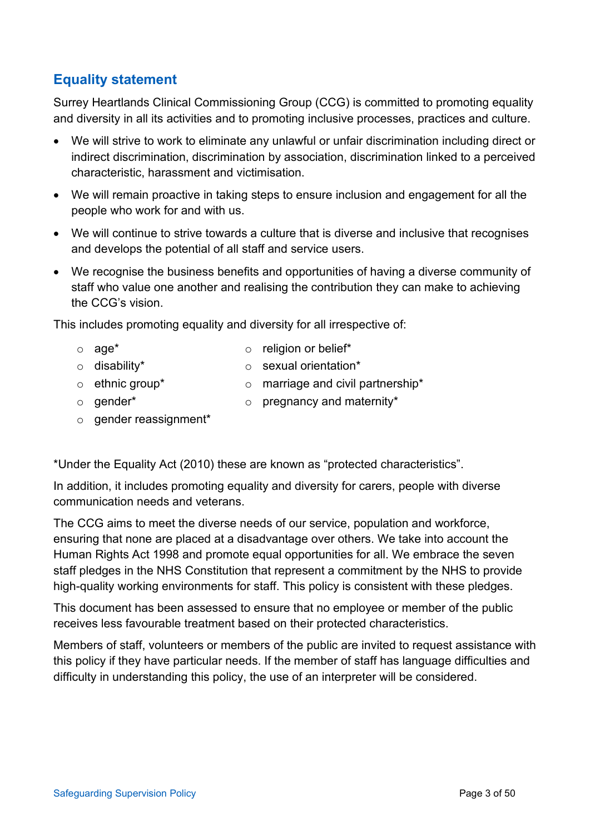# **Equality statement**

Surrey Heartlands Clinical Commissioning Group (CCG) is committed to promoting equality and diversity in all its activities and to promoting inclusive processes, practices and culture.

- We will strive to work to eliminate any unlawful or unfair discrimination including direct or indirect discrimination, discrimination by association, discrimination linked to a perceived characteristic, harassment and victimisation.
- We will remain proactive in taking steps to ensure inclusion and engagement for all the people who work for and with us.
- We will continue to strive towards a culture that is diverse and inclusive that recognises and develops the potential of all staff and service users.
- We recognise the business benefits and opportunities of having a diverse community of staff who value one another and realising the contribution they can make to achieving the CCG's vision.

This includes promoting equality and diversity for all irrespective of:

- 
- o age\* o religion or belief\*
- 
- o disability\* o sexual orientation\*
- $\circ$  ethnic group\*  $\circ$  marriage and civil partnership\*
- o gender\* o pregnancy and maternity\*
- 
- o gender reassignment\*

\*Under the Equality Act (2010) these are known as "protected characteristics".

In addition, it includes promoting equality and diversity for carers, people with diverse communication needs and veterans.

The CCG aims to meet the diverse needs of our service, population and workforce, ensuring that none are placed at a disadvantage over others. We take into account the Human Rights Act 1998 and promote equal opportunities for all. We embrace the seven staff pledges in the NHS Constitution that represent a commitment by the NHS to provide high-quality working environments for staff. This policy is consistent with these pledges.

This document has been assessed to ensure that no employee or member of the public receives less favourable treatment based on their protected characteristics.

Members of staff, volunteers or members of the public are invited to request assistance with this policy if they have particular needs. If the member of staff has language difficulties and difficulty in understanding this policy, the use of an interpreter will be considered.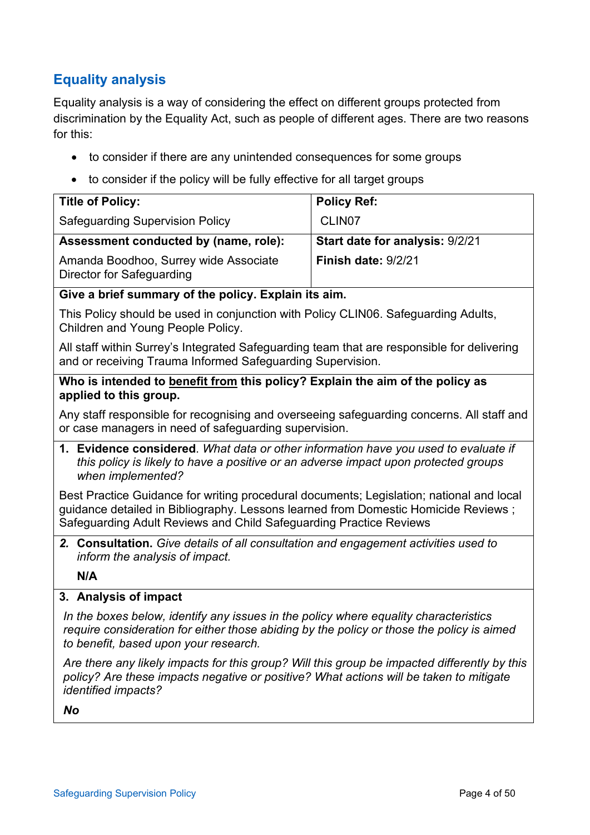# **Equality analysis**

Equality analysis is a way of considering the effect on different groups protected from discrimination by the Equality Act, such as people of different ages. There are two reasons for this:

- to consider if there are any unintended consequences for some groups
- to consider if the policy will be fully effective for all target groups

| <b>Title of Policy:</b>                                            | <b>Policy Ref:</b>                     |
|--------------------------------------------------------------------|----------------------------------------|
| <b>Safeguarding Supervision Policy</b>                             | CLIN <sub>07</sub>                     |
| Assessment conducted by (name, role):                              | <b>Start date for analysis: 9/2/21</b> |
| Amanda Boodhoo, Surrey wide Associate<br>Director for Safeguarding | Finish date: 9/2/21                    |

#### **Give a brief summary of the policy. Explain its aim.**

This Policy should be used in conjunction with Policy CLIN06. Safeguarding Adults, Children and Young People Policy.

All staff within Surrey's Integrated Safeguarding team that are responsible for delivering and or receiving Trauma Informed Safeguarding Supervision.

#### **Who is intended to benefit from this policy? Explain the aim of the policy as applied to this group.**

Any staff responsible for recognising and overseeing safeguarding concerns. All staff and or case managers in need of safeguarding supervision.

**1. Evidence considered**. *What data or other information have you used to evaluate if this policy is likely to have a positive or an adverse impact upon protected groups when implemented?*

Best Practice Guidance for writing procedural documents; Legislation; national and local guidance detailed in Bibliography. Lessons learned from Domestic Homicide Reviews ; Safeguarding Adult Reviews and Child Safeguarding Practice Reviews

*2.* **Consultation.** *Give details of all consultation and engagement activities used to inform the analysis of impact.*

**N/A**

## **3. Analysis of impact**

*In the boxes below, identify any issues in the policy where equality characteristics require consideration for either those abiding by the policy or those the policy is aimed to benefit, based upon your research.*

*Are there any likely impacts for this group? Will this group be impacted differently by this policy? Are these impacts negative or positive? What actions will be taken to mitigate identified impacts?*

*No*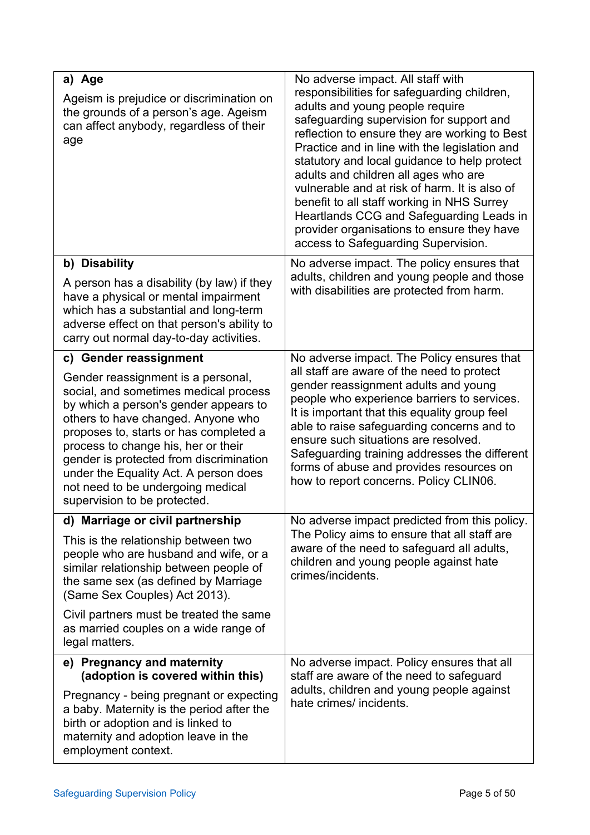| a) Age<br>Ageism is prejudice or discrimination on<br>the grounds of a person's age. Ageism<br>can affect anybody, regardless of their<br>age                                                                                                                                                                                                                                                        | No adverse impact. All staff with<br>responsibilities for safeguarding children,<br>adults and young people require<br>safeguarding supervision for support and<br>reflection to ensure they are working to Best<br>Practice and in line with the legislation and<br>statutory and local guidance to help protect<br>adults and children all ages who are<br>vulnerable and at risk of harm. It is also of<br>benefit to all staff working in NHS Surrey<br>Heartlands CCG and Safeguarding Leads in<br>provider organisations to ensure they have |
|------------------------------------------------------------------------------------------------------------------------------------------------------------------------------------------------------------------------------------------------------------------------------------------------------------------------------------------------------------------------------------------------------|----------------------------------------------------------------------------------------------------------------------------------------------------------------------------------------------------------------------------------------------------------------------------------------------------------------------------------------------------------------------------------------------------------------------------------------------------------------------------------------------------------------------------------------------------|
|                                                                                                                                                                                                                                                                                                                                                                                                      | access to Safeguarding Supervision.                                                                                                                                                                                                                                                                                                                                                                                                                                                                                                                |
| b) Disability<br>A person has a disability (by law) if they<br>have a physical or mental impairment<br>which has a substantial and long-term<br>adverse effect on that person's ability to<br>carry out normal day-to-day activities.                                                                                                                                                                | No adverse impact. The policy ensures that<br>adults, children and young people and those<br>with disabilities are protected from harm.                                                                                                                                                                                                                                                                                                                                                                                                            |
| c) Gender reassignment                                                                                                                                                                                                                                                                                                                                                                               | No adverse impact. The Policy ensures that                                                                                                                                                                                                                                                                                                                                                                                                                                                                                                         |
| Gender reassignment is a personal,<br>social, and sometimes medical process<br>by which a person's gender appears to<br>others to have changed. Anyone who<br>proposes to, starts or has completed a<br>process to change his, her or their<br>gender is protected from discrimination<br>under the Equality Act. A person does<br>not need to be undergoing medical<br>supervision to be protected. | all staff are aware of the need to protect<br>gender reassignment adults and young<br>people who experience barriers to services.<br>It is important that this equality group feel<br>able to raise safeguarding concerns and to<br>ensure such situations are resolved.<br>Safeguarding training addresses the different<br>forms of abuse and provides resources on<br>how to report concerns. Policy CLIN06.                                                                                                                                    |
| d) Marriage or civil partnership                                                                                                                                                                                                                                                                                                                                                                     | No adverse impact predicted from this policy.                                                                                                                                                                                                                                                                                                                                                                                                                                                                                                      |
| This is the relationship between two<br>people who are husband and wife, or a<br>similar relationship between people of<br>the same sex (as defined by Marriage<br>(Same Sex Couples) Act 2013).                                                                                                                                                                                                     | The Policy aims to ensure that all staff are<br>aware of the need to safeguard all adults,<br>children and young people against hate<br>crimes/incidents.                                                                                                                                                                                                                                                                                                                                                                                          |
| Civil partners must be treated the same<br>as married couples on a wide range of<br>legal matters.                                                                                                                                                                                                                                                                                                   |                                                                                                                                                                                                                                                                                                                                                                                                                                                                                                                                                    |
| e) Pregnancy and maternity<br>(adoption is covered within this)                                                                                                                                                                                                                                                                                                                                      | No adverse impact. Policy ensures that all<br>staff are aware of the need to safeguard                                                                                                                                                                                                                                                                                                                                                                                                                                                             |
| Pregnancy - being pregnant or expecting<br>a baby. Maternity is the period after the<br>birth or adoption and is linked to<br>maternity and adoption leave in the<br>employment context.                                                                                                                                                                                                             | adults, children and young people against<br>hate crimes/ incidents.                                                                                                                                                                                                                                                                                                                                                                                                                                                                               |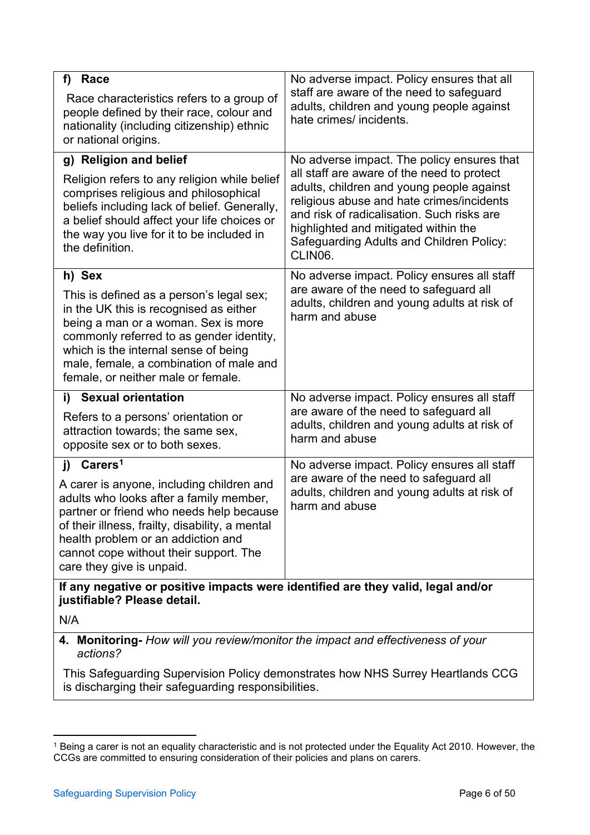| f)<br>Race                                                                                                                                                                                                                                                                                       | No adverse impact. Policy ensures that all                                                                                                                                                                                                                                        |  |  |
|--------------------------------------------------------------------------------------------------------------------------------------------------------------------------------------------------------------------------------------------------------------------------------------------------|-----------------------------------------------------------------------------------------------------------------------------------------------------------------------------------------------------------------------------------------------------------------------------------|--|--|
| Race characteristics refers to a group of<br>people defined by their race, colour and<br>nationality (including citizenship) ethnic<br>or national origins.                                                                                                                                      | staff are aware of the need to safeguard<br>adults, children and young people against<br>hate crimes/ incidents.                                                                                                                                                                  |  |  |
| g) Religion and belief                                                                                                                                                                                                                                                                           | No adverse impact. The policy ensures that                                                                                                                                                                                                                                        |  |  |
| Religion refers to any religion while belief<br>comprises religious and philosophical<br>beliefs including lack of belief. Generally,<br>a belief should affect your life choices or<br>the way you live for it to be included in<br>the definition.                                             | all staff are aware of the need to protect<br>adults, children and young people against<br>religious abuse and hate crimes/incidents<br>and risk of radicalisation. Such risks are<br>highlighted and mitigated within the<br>Safeguarding Adults and Children Policy:<br>CLIN06. |  |  |
| h) Sex                                                                                                                                                                                                                                                                                           | No adverse impact. Policy ensures all staff                                                                                                                                                                                                                                       |  |  |
| This is defined as a person's legal sex;<br>in the UK this is recognised as either<br>being a man or a woman. Sex is more<br>commonly referred to as gender identity,<br>which is the internal sense of being<br>male, female, a combination of male and<br>female, or neither male or female.   | are aware of the need to safeguard all<br>adults, children and young adults at risk of<br>harm and abuse                                                                                                                                                                          |  |  |
| i) Sexual orientation                                                                                                                                                                                                                                                                            | No adverse impact. Policy ensures all staff                                                                                                                                                                                                                                       |  |  |
| Refers to a persons' orientation or<br>attraction towards; the same sex,<br>opposite sex or to both sexes.                                                                                                                                                                                       | are aware of the need to safeguard all<br>adults, children and young adults at risk of<br>harm and abuse                                                                                                                                                                          |  |  |
| j) Carers <sup>1</sup>                                                                                                                                                                                                                                                                           | No adverse impact. Policy ensures all staff                                                                                                                                                                                                                                       |  |  |
| A carer is anyone, including children and<br>adults who looks after a family member,<br>partner or friend who needs help because<br>of their illness, frailty, disability, a mental<br>health problem or an addiction and<br>cannot cope without their support. The<br>care they give is unpaid. | are aware of the need to safeguard all<br>adults, children and young adults at risk of<br>harm and abuse                                                                                                                                                                          |  |  |
| If any negative or positive impacts were identified are they valid, legal and/or<br>justifiable? Please detail.                                                                                                                                                                                  |                                                                                                                                                                                                                                                                                   |  |  |
| N/A                                                                                                                                                                                                                                                                                              |                                                                                                                                                                                                                                                                                   |  |  |
| 4. Monitoring- How will you review/monitor the impact and effectiveness of your<br>actions?                                                                                                                                                                                                      |                                                                                                                                                                                                                                                                                   |  |  |
| This Safeguarding Supervision Policy demonstrates how NHS Surrey Heartlands CCG                                                                                                                                                                                                                  |                                                                                                                                                                                                                                                                                   |  |  |

is discharging their safeguarding responsibilities.

<span id="page-5-0"></span><sup>1</sup> Being a carer is not an equality characteristic and is not protected under the Equality Act 2010. However, the CCGs are committed to ensuring consideration of their policies and plans on carers.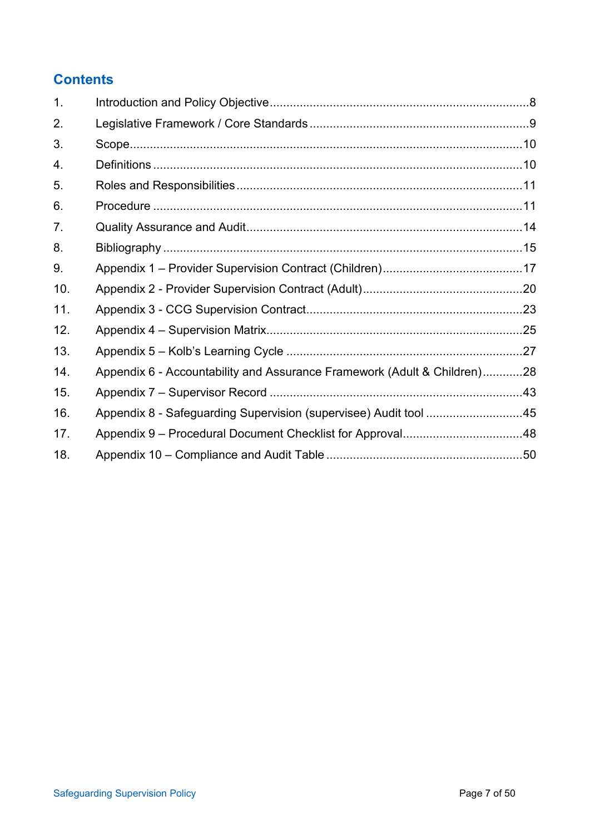# **Contents**

| 1.  |                                                                          |  |
|-----|--------------------------------------------------------------------------|--|
| 2.  |                                                                          |  |
| 3.  |                                                                          |  |
| 4.  |                                                                          |  |
| 5.  |                                                                          |  |
| 6.  |                                                                          |  |
| 7.  |                                                                          |  |
| 8.  |                                                                          |  |
| 9.  |                                                                          |  |
| 10. |                                                                          |  |
| 11. |                                                                          |  |
| 12. |                                                                          |  |
| 13. |                                                                          |  |
| 14. | Appendix 6 - Accountability and Assurance Framework (Adult & Children)28 |  |
| 15. |                                                                          |  |
| 16. | Appendix 8 - Safeguarding Supervision (supervisee) Audit tool 45         |  |
| 17. |                                                                          |  |
| 18. |                                                                          |  |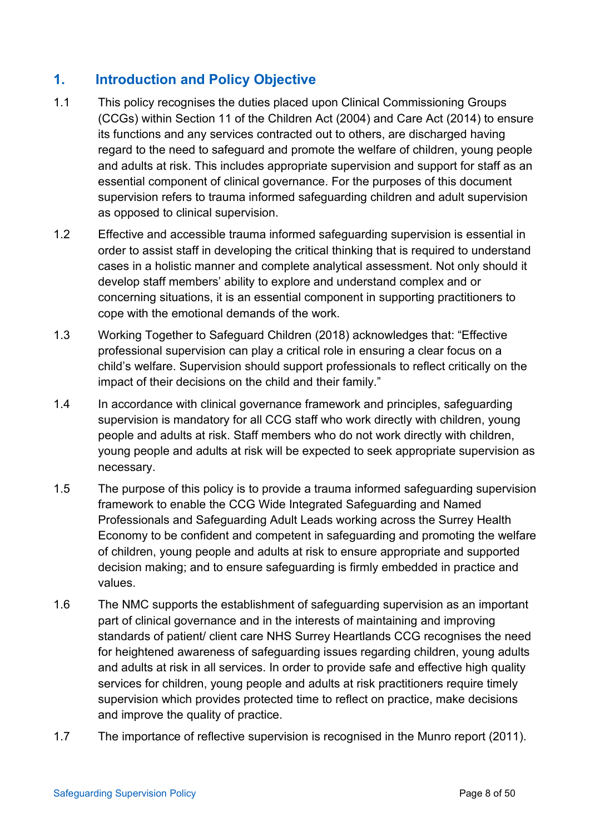# <span id="page-7-0"></span>**1. Introduction and Policy Objective**

- 1.1 This policy recognises the duties placed upon Clinical Commissioning Groups (CCGs) within Section 11 of the Children Act (2004) and Care Act (2014) to ensure its functions and any services contracted out to others, are discharged having regard to the need to safeguard and promote the welfare of children, young people and adults at risk. This includes appropriate supervision and support for staff as an essential component of clinical governance. For the purposes of this document supervision refers to trauma informed safeguarding children and adult supervision as opposed to clinical supervision.
- 1.2 Effective and accessible trauma informed safeguarding supervision is essential in order to assist staff in developing the critical thinking that is required to understand cases in a holistic manner and complete analytical assessment. Not only should it develop staff members' ability to explore and understand complex and or concerning situations, it is an essential component in supporting practitioners to cope with the emotional demands of the work.
- 1.3 Working Together to Safeguard Children (2018) acknowledges that: "Effective professional supervision can play a critical role in ensuring a clear focus on a child's welfare. Supervision should support professionals to reflect critically on the impact of their decisions on the child and their family."
- 1.4 In accordance with clinical governance framework and principles, safeguarding supervision is mandatory for all CCG staff who work directly with children, young people and adults at risk. Staff members who do not work directly with children, young people and adults at risk will be expected to seek appropriate supervision as necessary.
- 1.5 The purpose of this policy is to provide a trauma informed safeguarding supervision framework to enable the CCG Wide Integrated Safeguarding and Named Professionals and Safeguarding Adult Leads working across the Surrey Health Economy to be confident and competent in safeguarding and promoting the welfare of children, young people and adults at risk to ensure appropriate and supported decision making; and to ensure safeguarding is firmly embedded in practice and values.
- 1.6 The NMC supports the establishment of safeguarding supervision as an important part of clinical governance and in the interests of maintaining and improving standards of patient/ client care NHS Surrey Heartlands CCG recognises the need for heightened awareness of safeguarding issues regarding children, young adults and adults at risk in all services. In order to provide safe and effective high quality services for children, young people and adults at risk practitioners require timely supervision which provides protected time to reflect on practice, make decisions and improve the quality of practice.
- 1.7 The importance of reflective supervision is recognised in the Munro report (2011).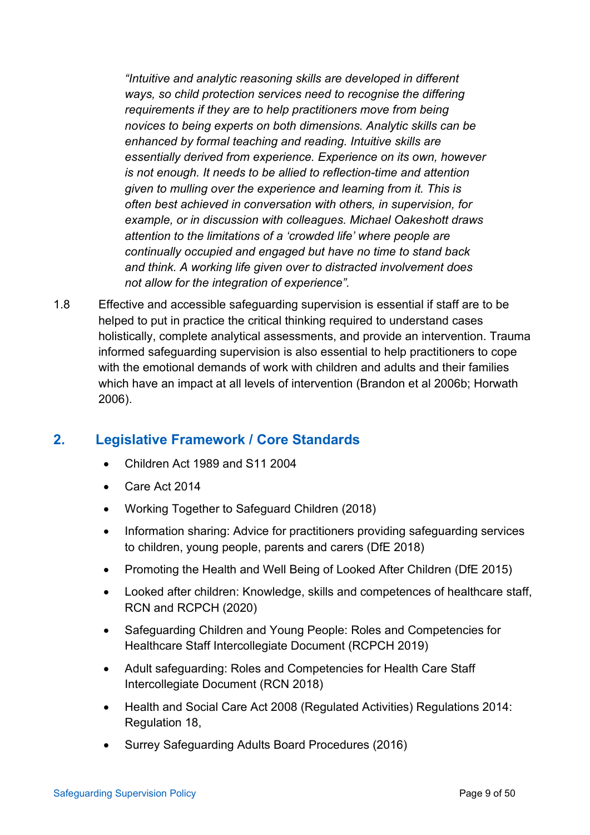*"Intuitive and analytic reasoning skills are developed in different ways, so child protection services need to recognise the differing requirements if they are to help practitioners move from being novices to being experts on both dimensions. Analytic skills can be enhanced by formal teaching and reading. Intuitive skills are essentially derived from experience. Experience on its own, however is not enough. It needs to be allied to reflection-time and attention given to mulling over the experience and learning from it. This is often best achieved in conversation with others, in supervision, for example, or in discussion with colleagues. Michael Oakeshott draws attention to the limitations of a 'crowded life' where people are continually occupied and engaged but have no time to stand back and think. A working life given over to distracted involvement does not allow for the integration of experience".*

1.8 Effective and accessible safeguarding supervision is essential if staff are to be helped to put in practice the critical thinking required to understand cases holistically, complete analytical assessments, and provide an intervention. Trauma informed safeguarding supervision is also essential to help practitioners to cope with the emotional demands of work with children and adults and their families which have an impact at all levels of intervention (Brandon et al 2006b; Horwath 2006).

# <span id="page-8-0"></span>**2. Legislative Framework / Core Standards**

- Children Act 1989 and S11 2004
- Care Act 2014
- Working Together to Safeguard Children (2018)
- Information sharing: Advice for practitioners providing safeguarding services to children, young people, parents and carers (DfE 2018)
- Promoting the Health and Well Being of Looked After Children (DfE 2015)
- Looked after children: Knowledge, skills and competences of healthcare staff, RCN and RCPCH (2020)
- Safeguarding Children and Young People: Roles and Competencies for Healthcare Staff Intercollegiate Document (RCPCH 2019)
- Adult safeguarding: Roles and Competencies for Health Care Staff Intercollegiate Document (RCN 2018)
- Health and Social Care Act 2008 (Regulated Activities) Regulations 2014: Regulation 18,
- Surrey Safeguarding Adults Board Procedures (2016)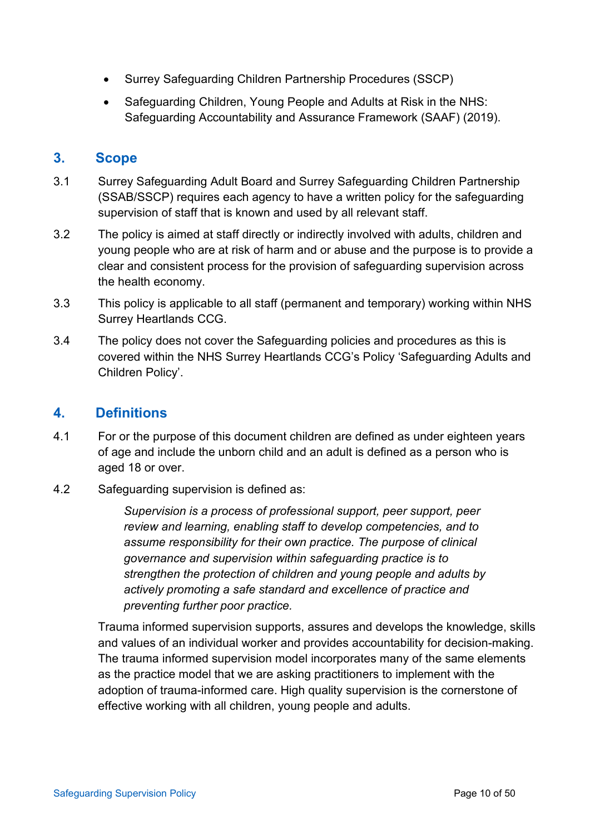- Surrey Safeguarding Children Partnership Procedures (SSCP)
- Safeguarding Children, Young People and Adults at Risk in the NHS: Safeguarding Accountability and Assurance Framework (SAAF) (2019).

# <span id="page-9-0"></span>**3. Scope**

- 3.1 Surrey Safeguarding Adult Board and Surrey Safeguarding Children Partnership (SSAB/SSCP) requires each agency to have a written policy for the safeguarding supervision of staff that is known and used by all relevant staff.
- 3.2 The policy is aimed at staff directly or indirectly involved with adults, children and young people who are at risk of harm and or abuse and the purpose is to provide a clear and consistent process for the provision of safeguarding supervision across the health economy.
- 3.3 This policy is applicable to all staff (permanent and temporary) working within NHS Surrey Heartlands CCG.
- 3.4 The policy does not cover the Safeguarding policies and procedures as this is covered within the NHS Surrey Heartlands CCG's Policy 'Safeguarding Adults and Children Policy'.

# <span id="page-9-1"></span>**4. Definitions**

- 4.1 For or the purpose of this document children are defined as under eighteen years of age and include the unborn child and an adult is defined as a person who is aged 18 or over.
- 4.2 Safeguarding supervision is defined as:

*Supervision is a process of professional support, peer support, peer review and learning, enabling staff to develop competencies, and to assume responsibility for their own practice. The purpose of clinical governance and supervision within safeguarding practice is to strengthen the protection of children and young people and adults by actively promoting a safe standard and excellence of practice and preventing further poor practice.* 

Trauma informed supervision supports, assures and develops the knowledge, skills and values of an individual worker and provides accountability for decision-making. The trauma informed supervision model incorporates many of the same elements as the practice model that we are asking practitioners to implement with the adoption of trauma-informed care. High quality supervision is the cornerstone of effective working with all children, young people and adults.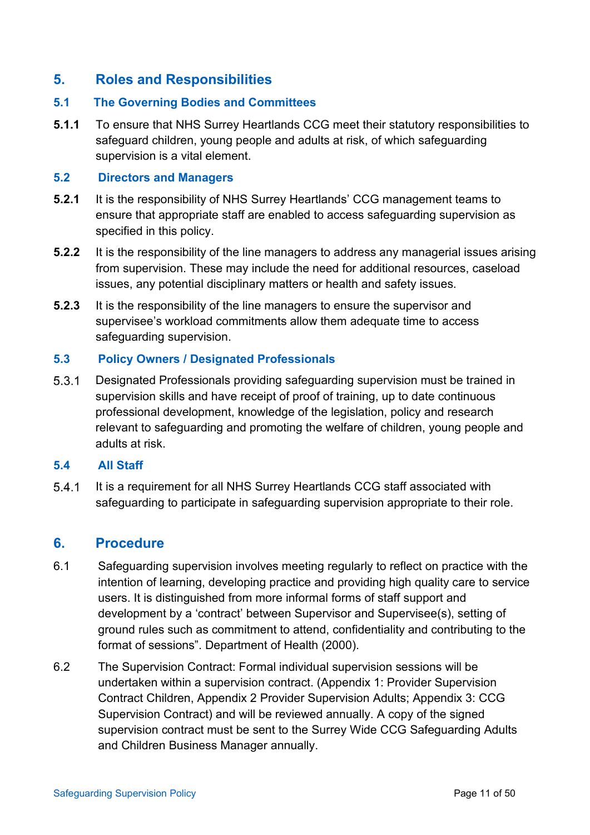# <span id="page-10-0"></span>**5. Roles and Responsibilities**

#### **5.1 The Governing Bodies and Committees**

**5.1.1** To ensure that NHS Surrey Heartlands CCG meet their statutory responsibilities to safeguard children, young people and adults at risk, of which safeguarding supervision is a vital element.

#### **5.2 Directors and Managers**

- **5.2.1** It is the responsibility of NHS Surrey Heartlands' CCG management teams to ensure that appropriate staff are enabled to access safeguarding supervision as specified in this policy.
- **5.2.2** It is the responsibility of the line managers to address any managerial issues arising from supervision. These may include the need for additional resources, caseload issues, any potential disciplinary matters or health and safety issues.
- **5.2.3** It is the responsibility of the line managers to ensure the supervisor and supervisee's workload commitments allow them adequate time to access safeguarding supervision.

#### **5.3 Policy Owners / Designated Professionals**

 $5.3.1$ Designated Professionals providing safeguarding supervision must be trained in supervision skills and have receipt of proof of training, up to date continuous professional development, knowledge of the legislation, policy and research relevant to safeguarding and promoting the welfare of children, young people and adults at risk.

#### **5.4 All Staff**

 $5.4.1$ It is a requirement for all NHS Surrey Heartlands CCG staff associated with safeguarding to participate in safeguarding supervision appropriate to their role.

## <span id="page-10-1"></span>**6. Procedure**

- 6.1 Safeguarding supervision involves meeting regularly to reflect on practice with the intention of learning, developing practice and providing high quality care to service users. It is distinguished from more informal forms of staff support and development by a 'contract' between Supervisor and Supervisee(s), setting of ground rules such as commitment to attend, confidentiality and contributing to the format of sessions". Department of Health (2000).
- 6.2 The Supervision Contract: Formal individual supervision sessions will be undertaken within a supervision contract. (Appendix 1: Provider Supervision Contract Children, Appendix 2 Provider Supervision Adults; Appendix 3: CCG Supervision Contract) and will be reviewed annually. A copy of the signed supervision contract must be sent to the Surrey Wide CCG Safeguarding Adults and Children Business Manager annually.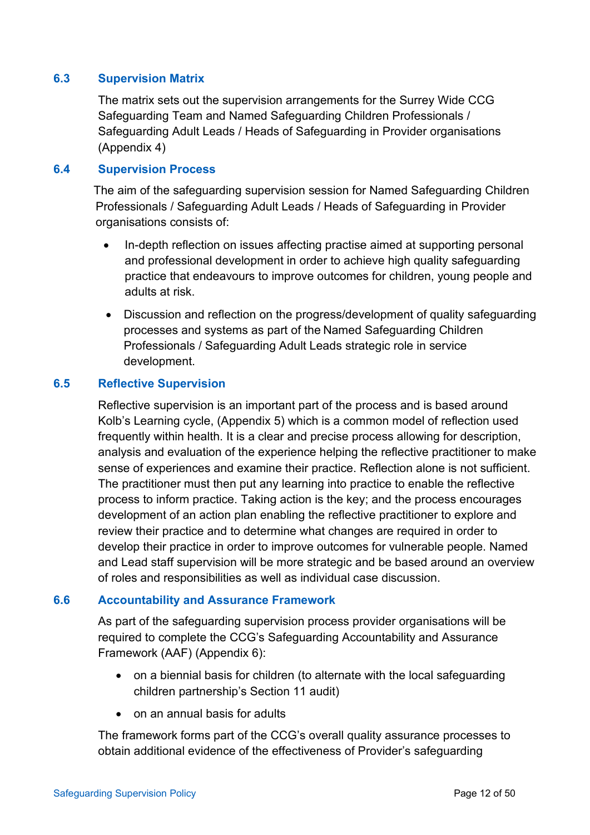### **6.3 Supervision Matrix**

The matrix sets out the supervision arrangements for the Surrey Wide CCG Safeguarding Team and Named Safeguarding Children Professionals / Safeguarding Adult Leads / Heads of Safeguarding in Provider organisations (Appendix 4)

#### **6.4 Supervision Process**

The aim of the safeguarding supervision session for Named Safeguarding Children Professionals / Safeguarding Adult Leads / Heads of Safeguarding in Provider organisations consists of:

- In-depth reflection on issues affecting practise aimed at supporting personal and professional development in order to achieve high quality safeguarding practice that endeavours to improve outcomes for children, young people and adults at risk.
- Discussion and reflection on the progress/development of quality safeguarding processes and systems as part of the Named Safeguarding Children Professionals / Safeguarding Adult Leads strategic role in service development.

#### **6.5 Reflective Supervision**

Reflective supervision is an important part of the process and is based around Kolb's Learning cycle, (Appendix 5) which is a common model of reflection used frequently within health. It is a clear and precise process allowing for description, analysis and evaluation of the experience helping the reflective practitioner to make sense of experiences and examine their practice. Reflection alone is not sufficient. The practitioner must then put any learning into practice to enable the reflective process to inform practice. Taking action is the key; and the process encourages development of an action plan enabling the reflective practitioner to explore and review their practice and to determine what changes are required in order to develop their practice in order to improve outcomes for vulnerable people. Named and Lead staff supervision will be more strategic and be based around an overview of roles and responsibilities as well as individual case discussion.

#### **6.6 Accountability and Assurance Framework**

As part of the safeguarding supervision process provider organisations will be required to complete the CCG's Safeguarding Accountability and Assurance Framework (AAF) (Appendix 6):

- on a biennial basis for children (to alternate with the local safeguarding children partnership's Section 11 audit)
- on an annual basis for adults

The framework forms part of the CCG's overall quality assurance processes to obtain additional evidence of the effectiveness of Provider's safeguarding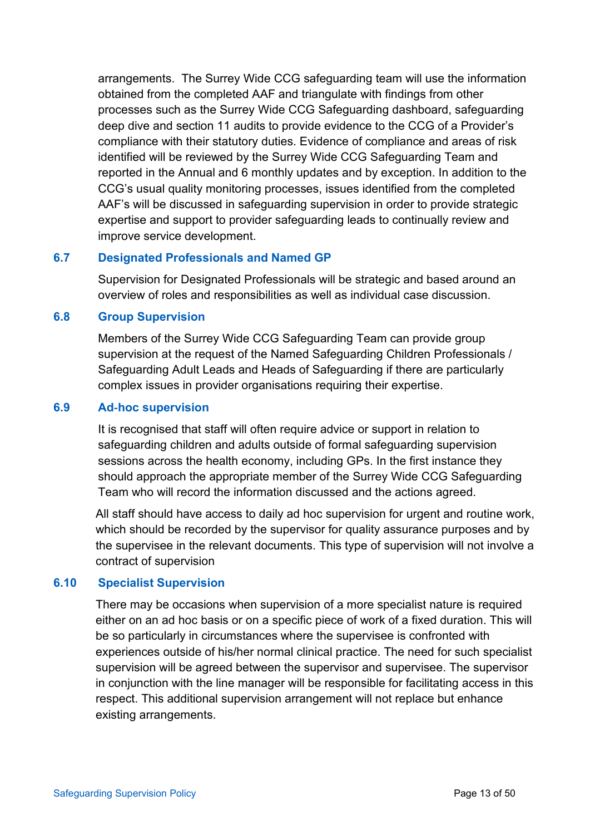arrangements. The Surrey Wide CCG safeguarding team will use the information obtained from the completed AAF and triangulate with findings from other processes such as the Surrey Wide CCG Safeguarding dashboard, safeguarding deep dive and section 11 audits to provide evidence to the CCG of a Provider's compliance with their statutory duties. Evidence of compliance and areas of risk identified will be reviewed by the Surrey Wide CCG Safeguarding Team and reported in the Annual and 6 monthly updates and by exception. In addition to the CCG's usual quality monitoring processes, issues identified from the completed AAF's will be discussed in safeguarding supervision in order to provide strategic expertise and support to provider safeguarding leads to continually review and improve service development.

## **6.7 Designated Professionals and Named GP**

Supervision for Designated Professionals will be strategic and based around an overview of roles and responsibilities as well as individual case discussion.

#### **6.8 Group Supervision**

Members of the Surrey Wide CCG Safeguarding Team can provide group supervision at the request of the Named Safeguarding Children Professionals / Safeguarding Adult Leads and Heads of Safeguarding if there are particularly complex issues in provider organisations requiring their expertise.

#### **6.9 Ad**‐**hoc supervision**

It is recognised that staff will often require advice or support in relation to safeguarding children and adults outside of formal safeguarding supervision sessions across the health economy, including GPs. In the first instance they should approach the appropriate member of the Surrey Wide CCG Safeguarding Team who will record the information discussed and the actions agreed.

All staff should have access to daily ad hoc supervision for urgent and routine work, which should be recorded by the supervisor for quality assurance purposes and by the supervisee in the relevant documents. This type of supervision will not involve a contract of supervision

#### **6.10 Specialist Supervision**

There may be occasions when supervision of a more specialist nature is required either on an ad hoc basis or on a specific piece of work of a fixed duration. This will be so particularly in circumstances where the supervisee is confronted with experiences outside of his/her normal clinical practice. The need for such specialist supervision will be agreed between the supervisor and supervisee. The supervisor in conjunction with the line manager will be responsible for facilitating access in this respect. This additional supervision arrangement will not replace but enhance existing arrangements.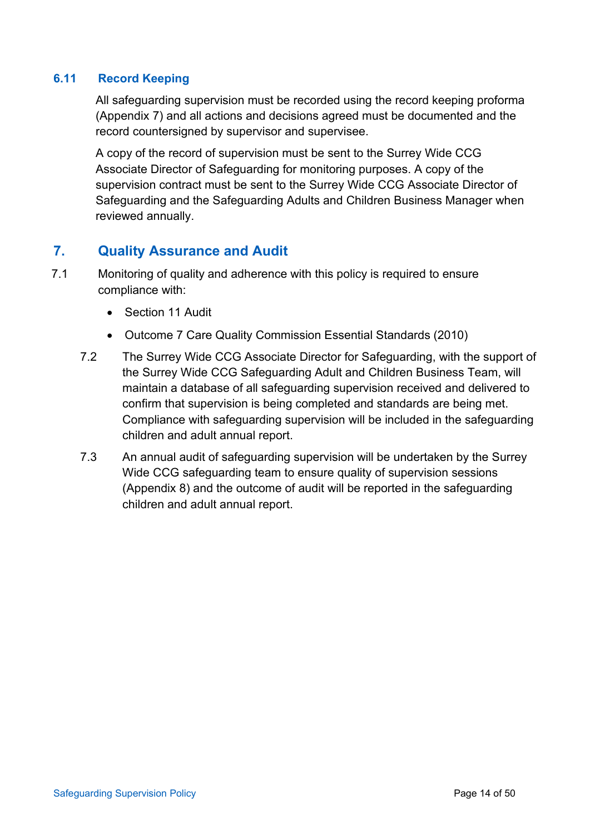## **6.11 Record Keeping**

All safeguarding supervision must be recorded using the record keeping proforma (Appendix 7) and all actions and decisions agreed must be documented and the record countersigned by supervisor and supervisee.

A copy of the record of supervision must be sent to the Surrey Wide CCG Associate Director of Safeguarding for monitoring purposes. A copy of the supervision contract must be sent to the Surrey Wide CCG Associate Director of Safeguarding and the Safeguarding Adults and Children Business Manager when reviewed annually.

# <span id="page-13-0"></span>**7. Quality Assurance and Audit**

- 7.1 Monitoring of quality and adherence with this policy is required to ensure compliance with:
	- Section 11 Audit
	- Outcome 7 Care Quality Commission Essential Standards (2010)
	- 7.2 The Surrey Wide CCG Associate Director for Safeguarding, with the support of the Surrey Wide CCG Safeguarding Adult and Children Business Team, will maintain a database of all safeguarding supervision received and delivered to confirm that supervision is being completed and standards are being met. Compliance with safeguarding supervision will be included in the safeguarding children and adult annual report.
	- 7.3 An annual audit of safeguarding supervision will be undertaken by the Surrey Wide CCG safeguarding team to ensure quality of supervision sessions (Appendix 8) and the outcome of audit will be reported in the safeguarding children and adult annual report.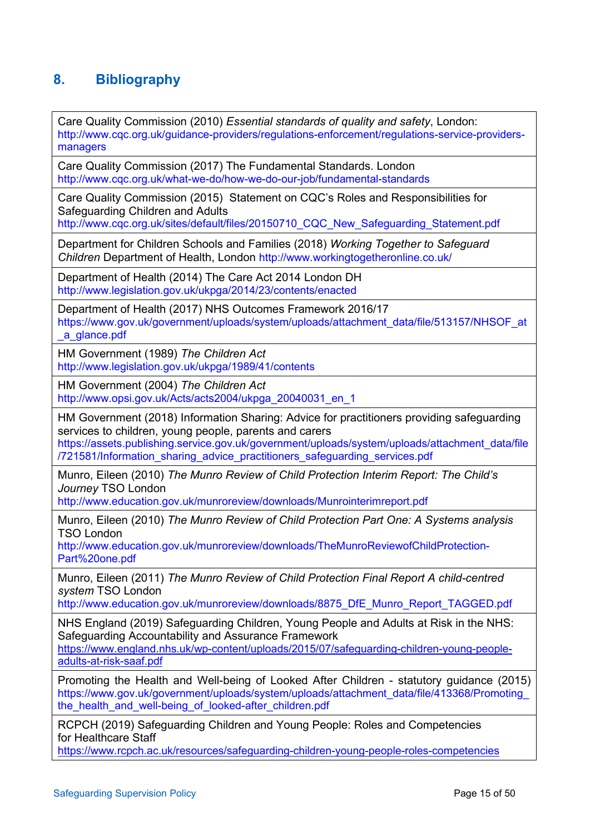# <span id="page-14-0"></span>**8. Bibliography**

Care Quality Commission (2010) *Essential standards of quality and safety*, London: [http://www.cqc.org.uk/guidance-providers/regulations-enforcement/regulations-service-providers](http://www.cqc.org.uk/guidance-providers/regulations-enforcement/regulations-service-providers-managers)[managers](http://www.cqc.org.uk/guidance-providers/regulations-enforcement/regulations-service-providers-managers)

Care Quality Commission (2017) The Fundamental Standards. London <http://www.cqc.org.uk/what-we-do/how-we-do-our-job/fundamental-standards>

Care Quality Commission (2015) Statement on CQC's Roles and Responsibilities for Safeguarding Children and Adults

[http://www.cqc.org.uk/sites/default/files/20150710\\_CQC\\_New\\_Safeguarding\\_Statement.pdf](http://www.cqc.org.uk/sites/default/files/20150710_CQC_New_Safeguarding_Statement.pdf)

Department for Children Schools and Families (2018) *Working Together to Safeguard Children* Department of Health, London<http://www.workingtogetheronline.co.uk/>

Department of Health (2014) The Care Act 2014 London DH <http://www.legislation.gov.uk/ukpga/2014/23/contents/enacted>

Department of Health (2017) NHS Outcomes Framework 2016/17 [https://www.gov.uk/government/uploads/system/uploads/attachment\\_data/file/513157/NHSOF\\_at](https://www.gov.uk/government/uploads/system/uploads/attachment_data/file/513157/NHSOF_at_a_glance.pdf) [\\_a\\_glance.pdf](https://www.gov.uk/government/uploads/system/uploads/attachment_data/file/513157/NHSOF_at_a_glance.pdf)

HM Government (1989) *The Children Act*  <http://www.legislation.gov.uk/ukpga/1989/41/contents>

HM Government (2004) *The Children Act*  [http://www.opsi.gov.uk/Acts/acts2004/ukpga\\_20040031\\_en\\_1](http://www.opsi.gov.uk/Acts/acts2004/ukpga_20040031_en_1)

HM Government (2018) Information Sharing: Advice for practitioners providing safeguarding services to children, young people, parents and carers

[https://assets.publishing.service.gov.uk/government/uploads/system/uploads/attachment\\_data/file](https://assets.publishing.service.gov.uk/government/uploads/system/uploads/attachment_data/file/721581/Information_sharing_advice_practitioners_safeguarding_services.pdf) [/721581/Information\\_sharing\\_advice\\_practitioners\\_safeguarding\\_services.pdf](https://assets.publishing.service.gov.uk/government/uploads/system/uploads/attachment_data/file/721581/Information_sharing_advice_practitioners_safeguarding_services.pdf)

Munro, Eileen (2010) *The Munro Review of Child Protection Interim Report: The Child's Journey* TSO London

<http://www.education.gov.uk/munroreview/downloads/Munrointerimreport.pdf>

Munro, Eileen (2010) *The Munro Review of Child Protection Part One: A Systems analysis*  TSO London

[http://www.education.gov.uk/munroreview/downloads/TheMunroReviewofChildProtection-](http://www.education.gov.uk/munroreview/downloads/TheMunroReviewofChildProtection-Part%20one.pdf)[Part%20one.pdf](http://www.education.gov.uk/munroreview/downloads/TheMunroReviewofChildProtection-Part%20one.pdf)

Munro, Eileen (2011) *The Munro Review of Child Protection Final Report A child-centred system* TSO London

[http://www.education.gov.uk/munroreview/downloads/8875\\_DfE\\_Munro\\_Report\\_TAGGED.pdf](http://www.education.gov.uk/munroreview/downloads/8875_DfE_Munro_Report_TAGGED.pdf)

NHS England (2019) Safeguarding Children, Young People and Adults at Risk in the NHS: Safeguarding Accountability and Assurance Framework [https://www.england.nhs.uk/wp-content/uploads/2015/07/safeguarding-children-young-people](https://www.england.nhs.uk/wp-content/uploads/2015/07/safeguarding-children-young-people-adults-at-risk-saaf.pdf)[adults-at-risk-saaf.pdf](https://www.england.nhs.uk/wp-content/uploads/2015/07/safeguarding-children-young-people-adults-at-risk-saaf.pdf)

Promoting the Health and Well-being of Looked After Children - statutory guidance (2015) [https://www.gov.uk/government/uploads/system/uploads/attachment\\_data/file/413368/Promoting\\_](https://www.gov.uk/government/uploads/system/uploads/attachment_data/file/413368/Promoting_the_health_and_well-being_of_looked-after_children.pdf) the health and well-being of looked-after children.pdf

RCPCH (2019) Safeguarding Children and Young People: Roles and Competencies for Healthcare Staff

<https://www.rcpch.ac.uk/resources/safeguarding-children-young-people-roles-competencies>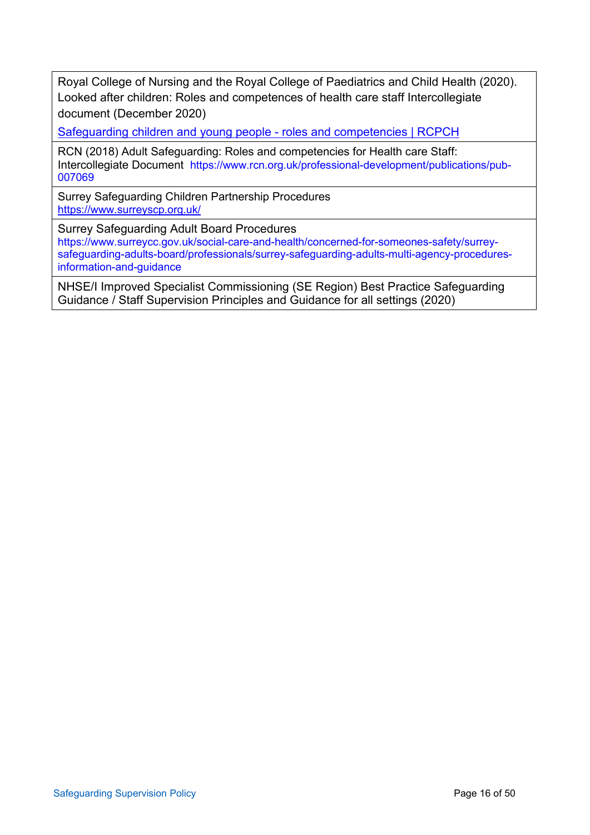Royal College of Nursing and the Royal College of Paediatrics and Child Health (2020). Looked after children: Roles and competences of health care staff Intercollegiate document (December 2020)

[Safeguarding children and young people -](https://www.rcpch.ac.uk/resources/safeguarding-children-young-people-roles-competencies) roles and competencies | RCPCH

RCN (2018) Adult Safeguarding: Roles and competencies for Health care Staff: Intercollegiate Document [https://www.rcn.org.uk/professional-development/publications/pub-](https://www.rcn.org.uk/professional-development/publications/pub-007069)[007069](https://www.rcn.org.uk/professional-development/publications/pub-007069)

Surrey Safeguarding Children Partnership Procedures <https://www.surreyscp.org.uk/>

Surrey Safeguarding Adult Board Procedures

[https://www.surreycc.gov.uk/social-care-and-health/concerned-for-someones-safety/surrey](https://www.surreycc.gov.uk/social-care-and-health/concerned-for-someones-safety/surrey-safeguarding-adults-board/professionals/surrey-safeguarding-adults-multi-agency-procedures-information-and-guidance)[safeguarding-adults-board/professionals/surrey-safeguarding-adults-multi-agency-procedures](https://www.surreycc.gov.uk/social-care-and-health/concerned-for-someones-safety/surrey-safeguarding-adults-board/professionals/surrey-safeguarding-adults-multi-agency-procedures-information-and-guidance)[information-and-guidance](https://www.surreycc.gov.uk/social-care-and-health/concerned-for-someones-safety/surrey-safeguarding-adults-board/professionals/surrey-safeguarding-adults-multi-agency-procedures-information-and-guidance)

NHSE/I Improved Specialist Commissioning (SE Region) Best Practice Safeguarding Guidance / Staff Supervision Principles and Guidance for all settings (2020)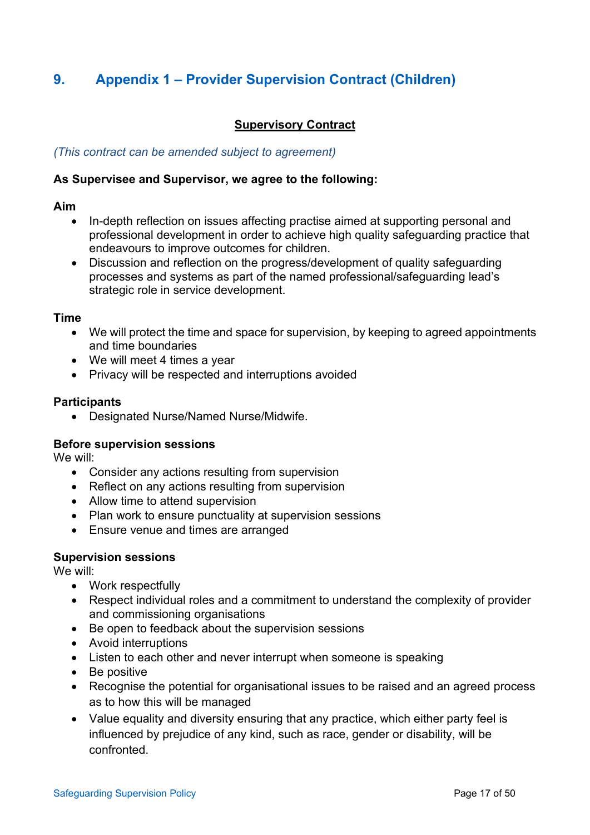# <span id="page-16-0"></span>**9. Appendix 1 – Provider Supervision Contract (Children)**

## **Supervisory Contract**

#### *(This contract can be amended subject to agreement)*

#### **As Supervisee and Supervisor, we agree to the following:**

#### **Aim**

- In-depth reflection on issues affecting practise aimed at supporting personal and professional development in order to achieve high quality safeguarding practice that endeavours to improve outcomes for children.
- Discussion and reflection on the progress/development of quality safeguarding processes and systems as part of the named professional/safeguarding lead's strategic role in service development.

#### **Time**

- We will protect the time and space for supervision, by keeping to agreed appointments and time boundaries
- We will meet 4 times a year
- Privacy will be respected and interruptions avoided

#### **Participants**

• Designated Nurse/Named Nurse/Midwife.

#### **Before supervision sessions**

We will:

- Consider any actions resulting from supervision
- Reflect on any actions resulting from supervision
- Allow time to attend supervision
- Plan work to ensure punctuality at supervision sessions
- Ensure venue and times are arranged

#### **Supervision sessions**

We will:

- Work respectfully
- Respect individual roles and a commitment to understand the complexity of provider and commissioning organisations
- Be open to feedback about the supervision sessions
- Avoid interruptions
- Listen to each other and never interrupt when someone is speaking
- Be positive
- Recognise the potential for organisational issues to be raised and an agreed process as to how this will be managed
- Value equality and diversity ensuring that any practice, which either party feel is influenced by prejudice of any kind, such as race, gender or disability, will be confronted.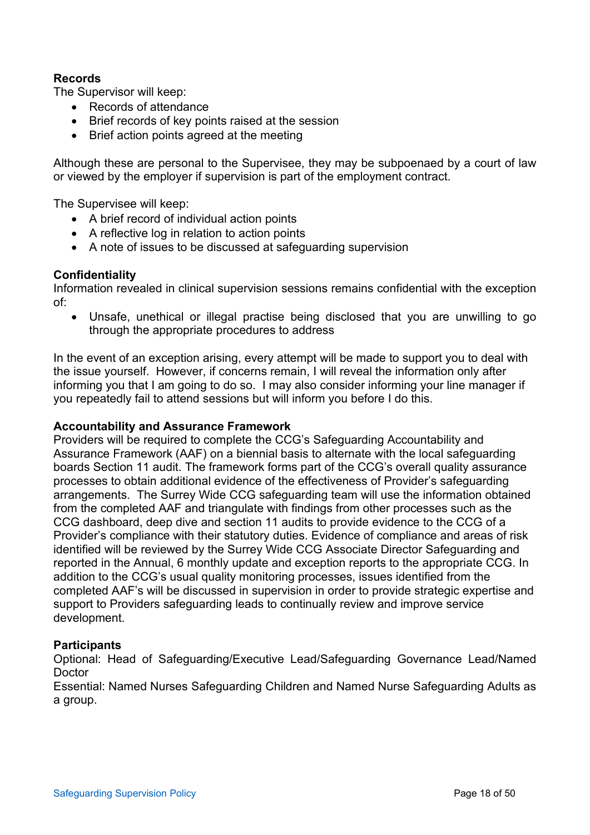## **Records**

The Supervisor will keep:

- Records of attendance
- Brief records of key points raised at the session
- Brief action points agreed at the meeting

Although these are personal to the Supervisee, they may be subpoenaed by a court of law or viewed by the employer if supervision is part of the employment contract.

The Supervisee will keep:

- A brief record of individual action points
- A reflective log in relation to action points
- A note of issues to be discussed at safeguarding supervision

#### **Confidentiality**

Information revealed in clinical supervision sessions remains confidential with the exception of:

• Unsafe, unethical or illegal practise being disclosed that you are unwilling to go through the appropriate procedures to address

In the event of an exception arising, every attempt will be made to support you to deal with the issue yourself. However, if concerns remain, I will reveal the information only after informing you that I am going to do so. I may also consider informing your line manager if you repeatedly fail to attend sessions but will inform you before I do this.

#### **Accountability and Assurance Framework**

Providers will be required to complete the CCG's Safeguarding Accountability and Assurance Framework (AAF) on a biennial basis to alternate with the local safeguarding boards Section 11 audit. The framework forms part of the CCG's overall quality assurance processes to obtain additional evidence of the effectiveness of Provider's safeguarding arrangements. The Surrey Wide CCG safeguarding team will use the information obtained from the completed AAF and triangulate with findings from other processes such as the CCG dashboard, deep dive and section 11 audits to provide evidence to the CCG of a Provider's compliance with their statutory duties. Evidence of compliance and areas of risk identified will be reviewed by the Surrey Wide CCG Associate Director Safeguarding and reported in the Annual, 6 monthly update and exception reports to the appropriate CCG. In addition to the CCG's usual quality monitoring processes, issues identified from the completed AAF's will be discussed in supervision in order to provide strategic expertise and support to Providers safeguarding leads to continually review and improve service development.

#### **Participants**

Optional: Head of Safeguarding/Executive Lead/Safeguarding Governance Lead/Named Doctor

Essential: Named Nurses Safeguarding Children and Named Nurse Safeguarding Adults as a group.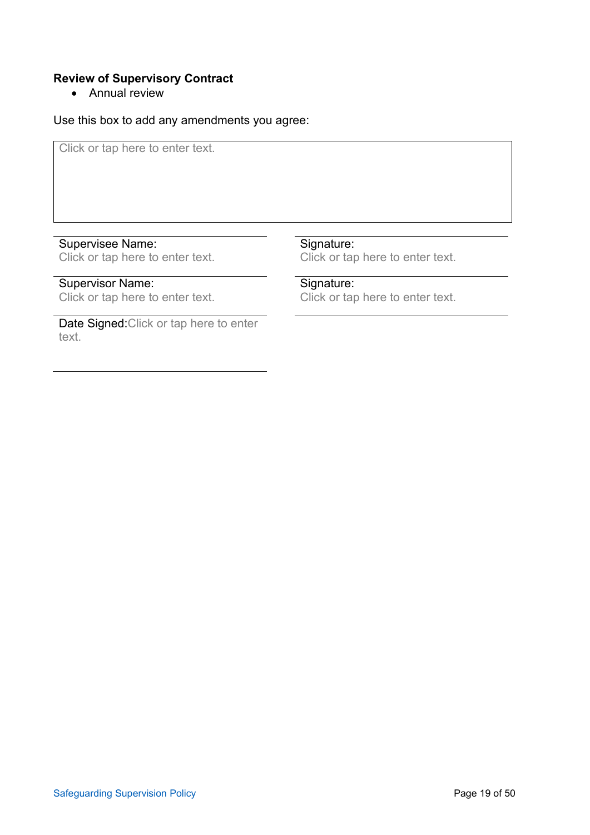## **Review of Supervisory Contract**

• Annual review

Use this box to add any amendments you agree:

Click or tap here to enter text.

## Supervisee Name:

Click or tap here to enter text.

# Supervisor Name:

Click or tap here to enter text.

Date Signed:Click or tap here to enter text.

#### Signature:

Click or tap here to enter text.

## Signature:

Click or tap here to enter text.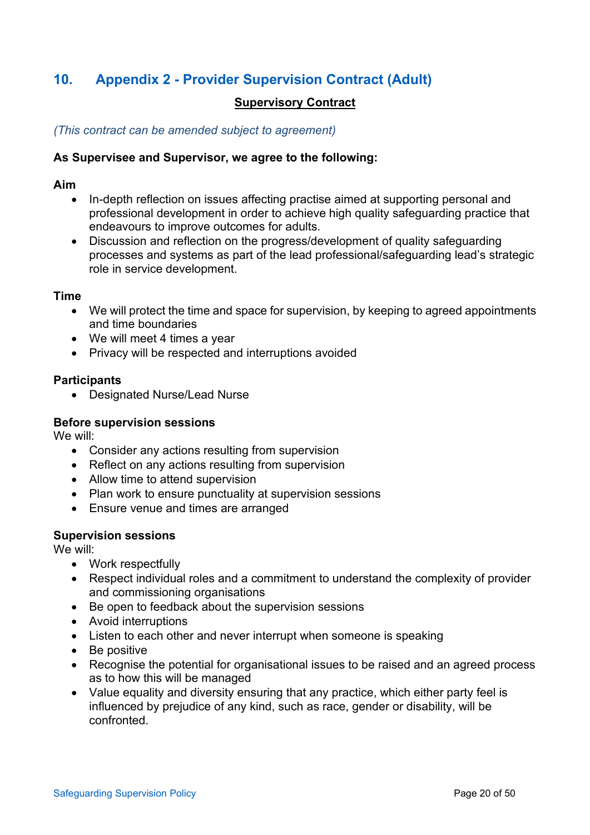# <span id="page-19-0"></span>**10. Appendix 2 - Provider Supervision Contract (Adult)**

#### **Supervisory Contract**

*(This contract can be amended subject to agreement)*

#### **As Supervisee and Supervisor, we agree to the following:**

#### **Aim**

- In-depth reflection on issues affecting practise aimed at supporting personal and professional development in order to achieve high quality safeguarding practice that endeavours to improve outcomes for adults.
- Discussion and reflection on the progress/development of quality safeguarding processes and systems as part of the lead professional/safeguarding lead's strategic role in service development.

#### **Time**

- We will protect the time and space for supervision, by keeping to agreed appointments and time boundaries
- We will meet 4 times a year
- Privacy will be respected and interruptions avoided

#### **Participants**

• Designated Nurse/Lead Nurse

#### **Before supervision sessions**

We will:

- Consider any actions resulting from supervision
- Reflect on any actions resulting from supervision
- Allow time to attend supervision
- Plan work to ensure punctuality at supervision sessions
- Ensure venue and times are arranged

#### **Supervision sessions**

We will:

- Work respectfully
- Respect individual roles and a commitment to understand the complexity of provider and commissioning organisations
- Be open to feedback about the supervision sessions
- Avoid interruptions
- Listen to each other and never interrupt when someone is speaking
- Be positive
- Recognise the potential for organisational issues to be raised and an agreed process as to how this will be managed
- Value equality and diversity ensuring that any practice, which either party feel is influenced by prejudice of any kind, such as race, gender or disability, will be confronted.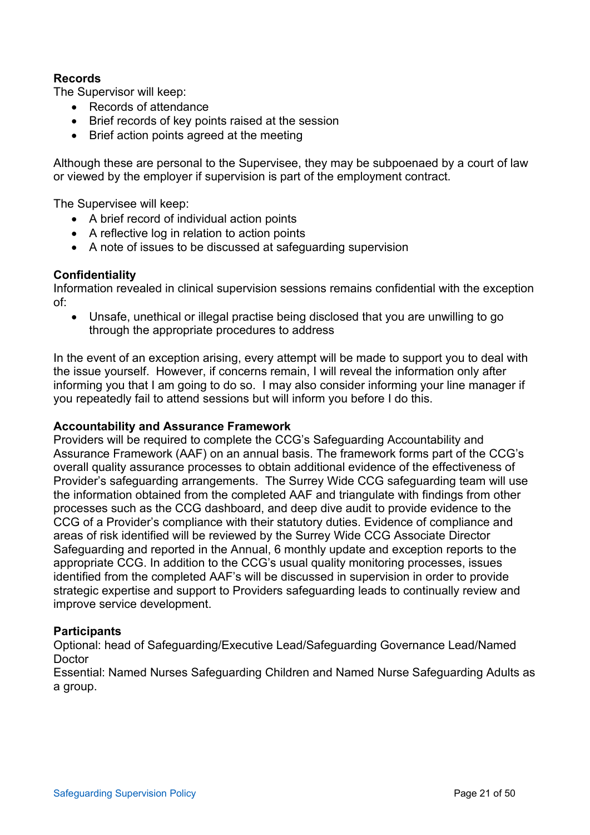## **Records**

The Supervisor will keep:

- Records of attendance
- Brief records of key points raised at the session
- Brief action points agreed at the meeting

Although these are personal to the Supervisee, they may be subpoenaed by a court of law or viewed by the employer if supervision is part of the employment contract.

The Supervisee will keep:

- A brief record of individual action points
- A reflective log in relation to action points
- A note of issues to be discussed at safeguarding supervision

#### **Confidentiality**

Information revealed in clinical supervision sessions remains confidential with the exception of:

• Unsafe, unethical or illegal practise being disclosed that you are unwilling to go through the appropriate procedures to address

In the event of an exception arising, every attempt will be made to support you to deal with the issue yourself. However, if concerns remain, I will reveal the information only after informing you that I am going to do so. I may also consider informing your line manager if you repeatedly fail to attend sessions but will inform you before I do this.

#### **Accountability and Assurance Framework**

Providers will be required to complete the CCG's Safeguarding Accountability and Assurance Framework (AAF) on an annual basis. The framework forms part of the CCG's overall quality assurance processes to obtain additional evidence of the effectiveness of Provider's safeguarding arrangements. The Surrey Wide CCG safeguarding team will use the information obtained from the completed AAF and triangulate with findings from other processes such as the CCG dashboard, and deep dive audit to provide evidence to the CCG of a Provider's compliance with their statutory duties. Evidence of compliance and areas of risk identified will be reviewed by the Surrey Wide CCG Associate Director Safeguarding and reported in the Annual, 6 monthly update and exception reports to the appropriate CCG. In addition to the CCG's usual quality monitoring processes, issues identified from the completed AAF's will be discussed in supervision in order to provide strategic expertise and support to Providers safeguarding leads to continually review and improve service development.

#### **Participants**

Optional: head of Safeguarding/Executive Lead/Safeguarding Governance Lead/Named Doctor

Essential: Named Nurses Safeguarding Children and Named Nurse Safeguarding Adults as a group.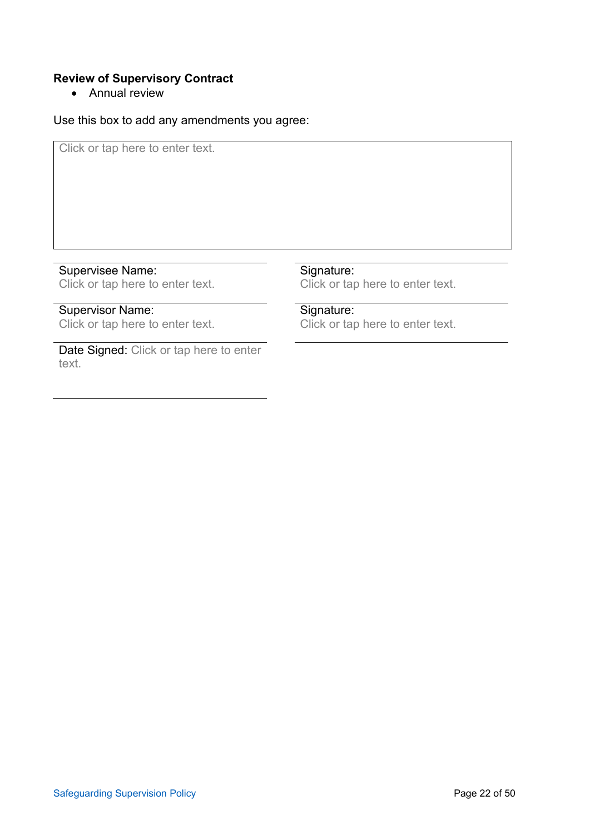## **Review of Supervisory Contract**

• Annual review

Use this box to add any amendments you agree:

Click or tap here to enter text.

Supervisee Name: Click or tap here to enter text.

# Supervisor Name:

Click or tap here to enter text.

Date Signed: Click or tap here to enter text.

#### Signature:

Click or tap here to enter text.

## Signature:

Click or tap here to enter text.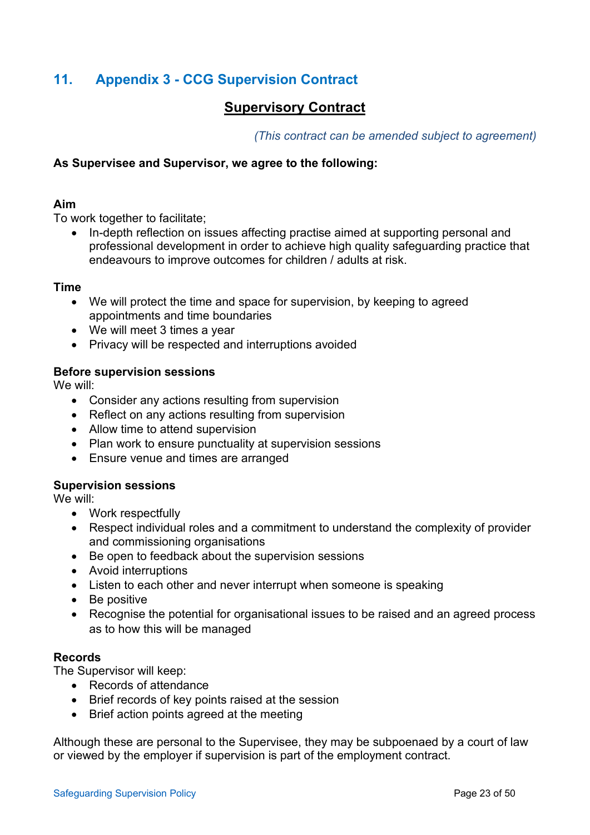# <span id="page-22-0"></span>**11. Appendix 3 - CCG Supervision Contract**

# **Supervisory Contract**

*(This contract can be amended subject to agreement)*

#### **As Supervisee and Supervisor, we agree to the following:**

#### **Aim**

To work together to facilitate;

• In-depth reflection on issues affecting practise aimed at supporting personal and professional development in order to achieve high quality safeguarding practice that endeavours to improve outcomes for children / adults at risk.

#### **Time**

- We will protect the time and space for supervision, by keeping to agreed appointments and time boundaries
- We will meet 3 times a year
- Privacy will be respected and interruptions avoided

#### **Before supervision sessions**

We will:

- Consider any actions resulting from supervision
- Reflect on any actions resulting from supervision
- Allow time to attend supervision
- Plan work to ensure punctuality at supervision sessions
- Ensure venue and times are arranged

#### **Supervision sessions**

We will:

- Work respectfully
- Respect individual roles and a commitment to understand the complexity of provider and commissioning organisations
- Be open to feedback about the supervision sessions
- Avoid interruptions
- Listen to each other and never interrupt when someone is speaking
- Be positive
- Recognise the potential for organisational issues to be raised and an agreed process as to how this will be managed

#### **Records**

The Supervisor will keep:

- Records of attendance
- Brief records of key points raised at the session
- Brief action points agreed at the meeting

Although these are personal to the Supervisee, they may be subpoenaed by a court of law or viewed by the employer if supervision is part of the employment contract.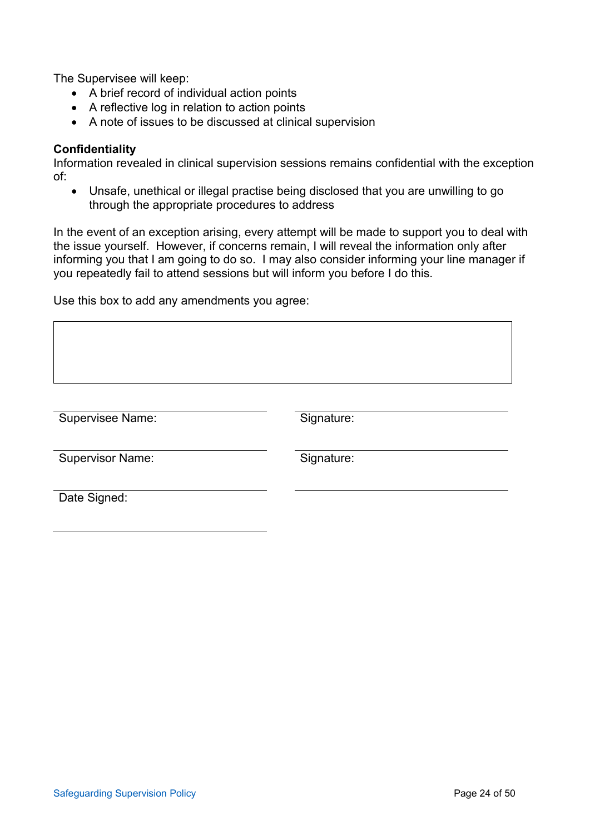The Supervisee will keep:

- A brief record of individual action points
- A reflective log in relation to action points
- A note of issues to be discussed at clinical supervision

#### **Confidentiality**

Information revealed in clinical supervision sessions remains confidential with the exception of:

• Unsafe, unethical or illegal practise being disclosed that you are unwilling to go through the appropriate procedures to address

In the event of an exception arising, every attempt will be made to support you to deal with the issue yourself. However, if concerns remain, I will reveal the information only after informing you that I am going to do so. I may also consider informing your line manager if you repeatedly fail to attend sessions but will inform you before I do this.

Use this box to add any amendments you agree:

| <b>Supervisee Name:</b> | Signature: |
|-------------------------|------------|
|                         |            |
| <b>Supervisor Name:</b> | Signature: |
|                         |            |
| Date Signed:            |            |
|                         |            |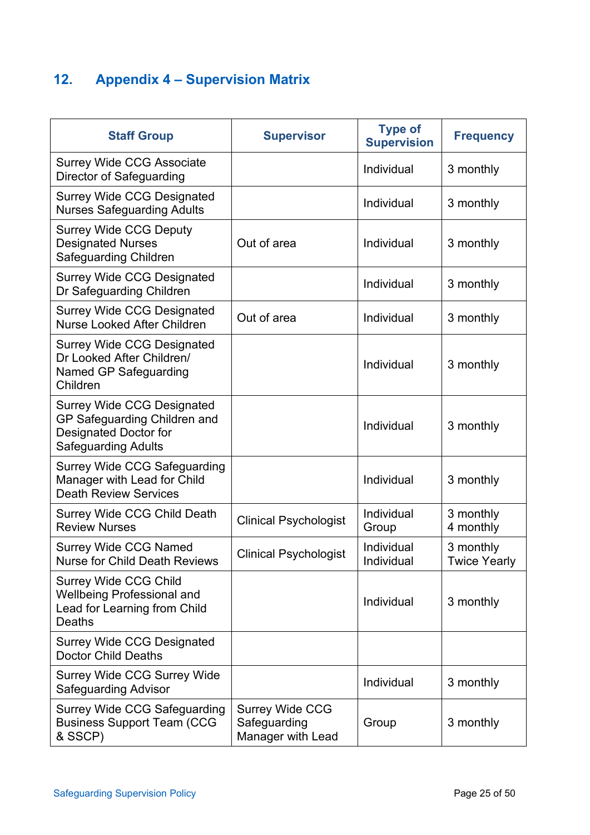# <span id="page-24-0"></span>**12. Appendix 4 – Supervision Matrix**

| <b>Staff Group</b>                                                                                                       | <b>Supervisor</b>                                           | <b>Type of</b><br><b>Supervision</b> | <b>Frequency</b>                 |
|--------------------------------------------------------------------------------------------------------------------------|-------------------------------------------------------------|--------------------------------------|----------------------------------|
| <b>Surrey Wide CCG Associate</b><br>Director of Safeguarding                                                             |                                                             | Individual                           | 3 monthly                        |
| <b>Surrey Wide CCG Designated</b><br><b>Nurses Safeguarding Adults</b>                                                   |                                                             | Individual                           | 3 monthly                        |
| <b>Surrey Wide CCG Deputy</b><br><b>Designated Nurses</b><br>Safeguarding Children                                       | Out of area                                                 | Individual                           | 3 monthly                        |
| <b>Surrey Wide CCG Designated</b><br>Dr Safeguarding Children                                                            |                                                             | Individual                           | 3 monthly                        |
| <b>Surrey Wide CCG Designated</b><br><b>Nurse Looked After Children</b>                                                  | Out of area                                                 | Individual                           | 3 monthly                        |
| <b>Surrey Wide CCG Designated</b><br>Dr Looked After Children/<br>Named GP Safeguarding<br>Children                      |                                                             | Individual                           | 3 monthly                        |
| <b>Surrey Wide CCG Designated</b><br>GP Safeguarding Children and<br>Designated Doctor for<br><b>Safeguarding Adults</b> |                                                             | Individual                           | 3 monthly                        |
| <b>Surrey Wide CCG Safeguarding</b><br>Manager with Lead for Child<br><b>Death Review Services</b>                       |                                                             | Individual                           | 3 monthly                        |
| <b>Surrey Wide CCG Child Death</b><br><b>Review Nurses</b>                                                               | <b>Clinical Psychologist</b>                                | Individual<br>Group                  | 3 monthly<br>4 monthly           |
| <b>Surrey Wide CCG Named</b><br><b>Nurse for Child Death Reviews</b>                                                     | <b>Clinical Psychologist</b>                                | Individual<br>Individual             | 3 monthly<br><b>Twice Yearly</b> |
| <b>Surrey Wide CCG Child</b><br><b>Wellbeing Professional and</b><br>Lead for Learning from Child<br>Deaths              |                                                             | Individual                           | 3 monthly                        |
| <b>Surrey Wide CCG Designated</b><br><b>Doctor Child Deaths</b>                                                          |                                                             |                                      |                                  |
| <b>Surrey Wide CCG Surrey Wide</b><br><b>Safeguarding Advisor</b>                                                        |                                                             | Individual                           | 3 monthly                        |
| <b>Surrey Wide CCG Safeguarding</b><br><b>Business Support Team (CCG</b><br>& SSCP)                                      | <b>Surrey Wide CCG</b><br>Safeguarding<br>Manager with Lead | Group                                | 3 monthly                        |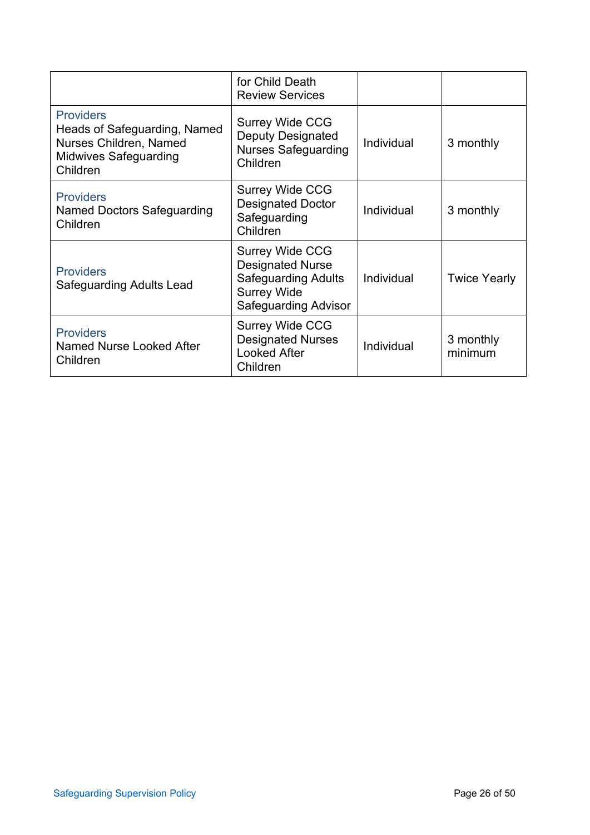|                                                                                                                        | for Child Death<br><b>Review Services</b>                                                                                            |            |                      |
|------------------------------------------------------------------------------------------------------------------------|--------------------------------------------------------------------------------------------------------------------------------------|------------|----------------------|
| <b>Providers</b><br>Heads of Safeguarding, Named<br>Nurses Children, Named<br><b>Midwives Safeguarding</b><br>Children | <b>Surrey Wide CCG</b><br><b>Deputy Designated</b><br><b>Nurses Safeguarding</b><br>Children                                         | Individual | 3 monthly            |
| <b>Providers</b><br><b>Named Doctors Safeguarding</b><br>Children                                                      | <b>Surrey Wide CCG</b><br><b>Designated Doctor</b><br>Safeguarding<br>Children                                                       | Individual | 3 monthly            |
| <b>Providers</b><br><b>Safeguarding Adults Lead</b>                                                                    | <b>Surrey Wide CCG</b><br><b>Designated Nurse</b><br><b>Safeguarding Adults</b><br><b>Surrey Wide</b><br><b>Safeguarding Advisor</b> | Individual | <b>Twice Yearly</b>  |
| <b>Providers</b><br>Named Nurse Looked After<br>Children                                                               | <b>Surrey Wide CCG</b><br><b>Designated Nurses</b><br><b>Looked After</b><br>Children                                                | Individual | 3 monthly<br>minimum |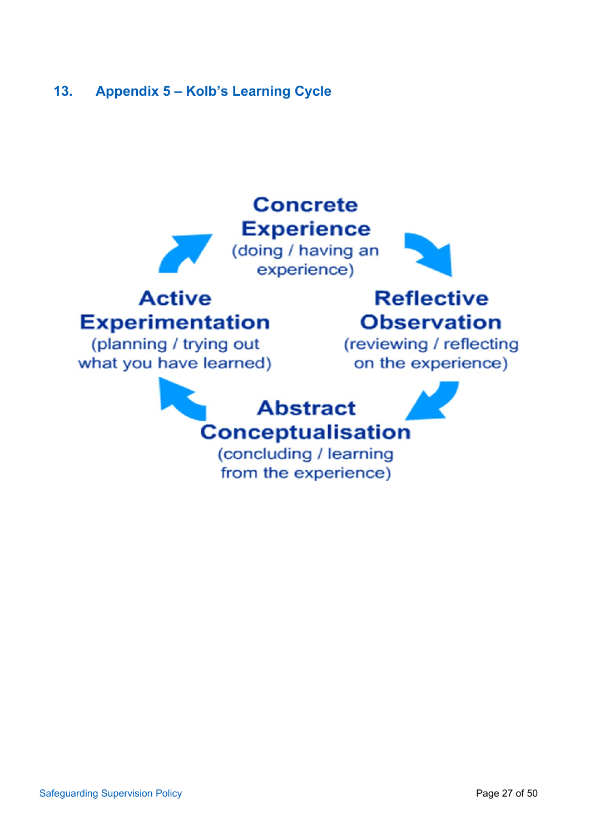# <span id="page-26-0"></span>**13. Appendix 5 – Kolb's Learning Cycle**

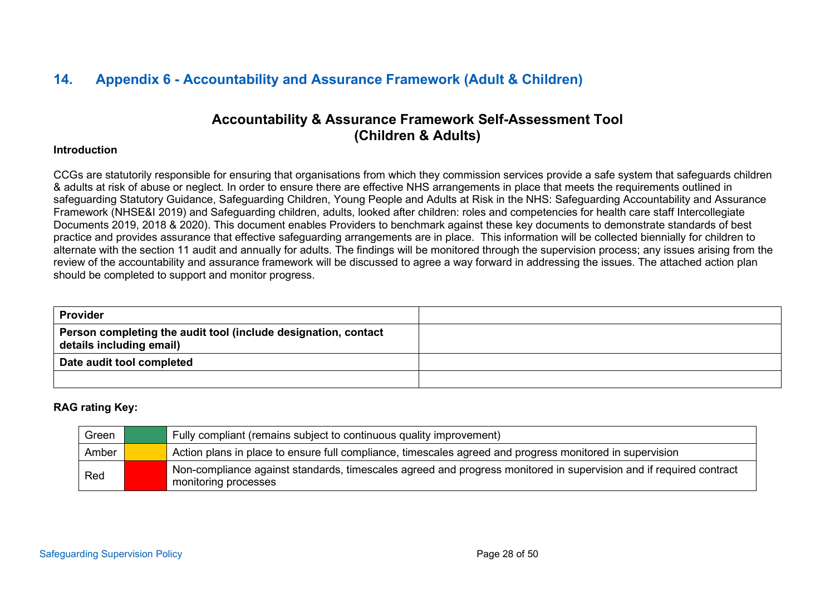# **14. Appendix 6 - Accountability and Assurance Framework (Adult & Children)**

# **Accountability & Assurance Framework Self-Assessment Tool (Children & Adults)**

#### **Introduction**

CCGs are statutorily responsible for ensuring that organisations from which they commission services provide a safe system that safeguards children & adults at risk of abuse or neglect. In order to ensure there are effective NHS arrangements in place that meets the requirements outlined in safeguarding Statutory Guidance, Safeguarding Children, Young People and Adults at Risk in the NHS: Safeguarding Accountability and Assurance Framework (NHSE&I 2019) and Safeguarding children, adults, looked after children: roles and competencies for health care staff Intercollegiate Documents 2019, 2018 & 2020). This document enables Providers to benchmark against these key documents to demonstrate standards of best practice and provides assurance that effective safeguarding arrangements are in place. This information will be collected biennially for children to alternate with the section 11 audit and annually for adults. The findings will be monitored through the supervision process; any issues arising from the review of the accountability and assurance framework will be discussed to agree a way forward in addressing the issues. The attached action plan should be completed to support and monitor progress.

<span id="page-27-0"></span>

| <b>Provider</b>                                                                            |  |
|--------------------------------------------------------------------------------------------|--|
| Person completing the audit tool (include designation, contact<br>details including email) |  |
| Date audit tool completed                                                                  |  |
|                                                                                            |  |

#### **RAG rating Key:**

| Green | Fully compliant (remains subject to continuous quality improvement)                                                                        |
|-------|--------------------------------------------------------------------------------------------------------------------------------------------|
| Amber | Action plans in place to ensure full compliance, timescales agreed and progress monitored in supervision                                   |
| Red   | Non-compliance against standards, timescales agreed and progress monitored in supervision and if required contract<br>monitoring processes |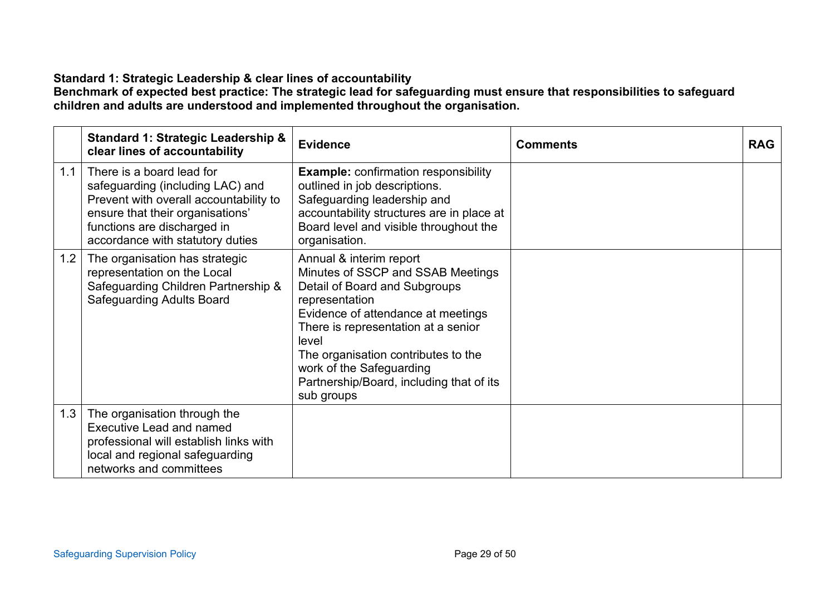## **Standard 1: Strategic Leadership & clear lines of accountability**

**Benchmark of expected best practice: The strategic lead for safeguarding must ensure that responsibilities to safeguard children and adults are understood and implemented throughout the organisation.** 

|     | <b>Standard 1: Strategic Leadership &amp;</b><br>clear lines of accountability                                                                                                                                 | <b>Evidence</b>                                                                                                                                                                                                                                                                                                                    | <b>Comments</b> | <b>RAG</b> |
|-----|----------------------------------------------------------------------------------------------------------------------------------------------------------------------------------------------------------------|------------------------------------------------------------------------------------------------------------------------------------------------------------------------------------------------------------------------------------------------------------------------------------------------------------------------------------|-----------------|------------|
| 1.1 | There is a board lead for<br>safeguarding (including LAC) and<br>Prevent with overall accountability to<br>ensure that their organisations'<br>functions are discharged in<br>accordance with statutory duties | <b>Example: confirmation responsibility</b><br>outlined in job descriptions.<br>Safeguarding leadership and<br>accountability structures are in place at<br>Board level and visible throughout the<br>organisation.                                                                                                                |                 |            |
| 1.2 | The organisation has strategic<br>representation on the Local<br>Safeguarding Children Partnership &<br><b>Safeguarding Adults Board</b>                                                                       | Annual & interim report<br>Minutes of SSCP and SSAB Meetings<br>Detail of Board and Subgroups<br>representation<br>Evidence of attendance at meetings<br>There is representation at a senior<br>level<br>The organisation contributes to the<br>work of the Safeguarding<br>Partnership/Board, including that of its<br>sub groups |                 |            |
| 1.3 | The organisation through the<br><b>Executive Lead and named</b><br>professional will establish links with<br>local and regional safeguarding<br>networks and committees                                        |                                                                                                                                                                                                                                                                                                                                    |                 |            |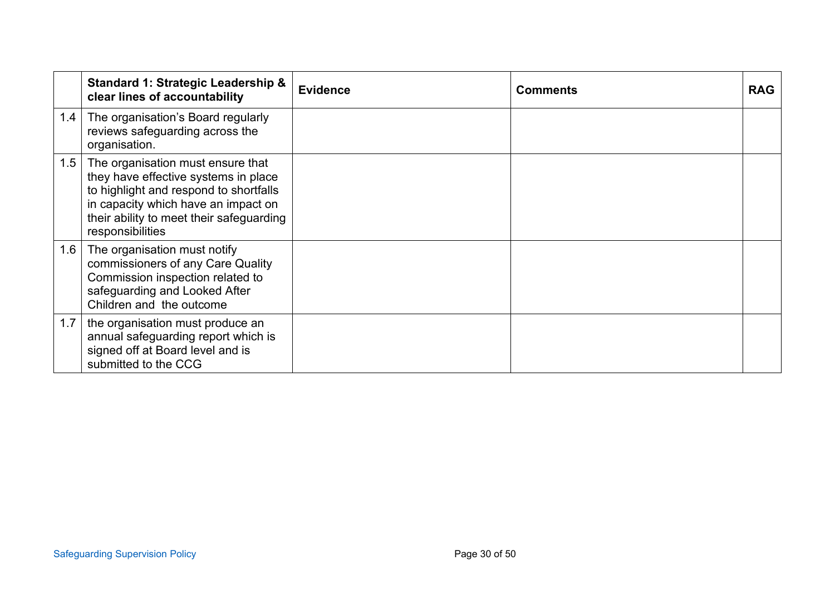|     | <b>Standard 1: Strategic Leadership &amp;</b><br>clear lines of accountability                                                                                                                                             | <b>Evidence</b> | <b>Comments</b> | <b>RAG</b> |
|-----|----------------------------------------------------------------------------------------------------------------------------------------------------------------------------------------------------------------------------|-----------------|-----------------|------------|
| 1.4 | The organisation's Board regularly<br>reviews safeguarding across the<br>organisation.                                                                                                                                     |                 |                 |            |
| 1.5 | The organisation must ensure that<br>they have effective systems in place<br>to highlight and respond to shortfalls<br>in capacity which have an impact on<br>their ability to meet their safeguarding<br>responsibilities |                 |                 |            |
| 1.6 | The organisation must notify<br>commissioners of any Care Quality<br>Commission inspection related to<br>safeguarding and Looked After<br>Children and the outcome                                                         |                 |                 |            |
| 1.7 | the organisation must produce an<br>annual safeguarding report which is<br>signed off at Board level and is<br>submitted to the CCG                                                                                        |                 |                 |            |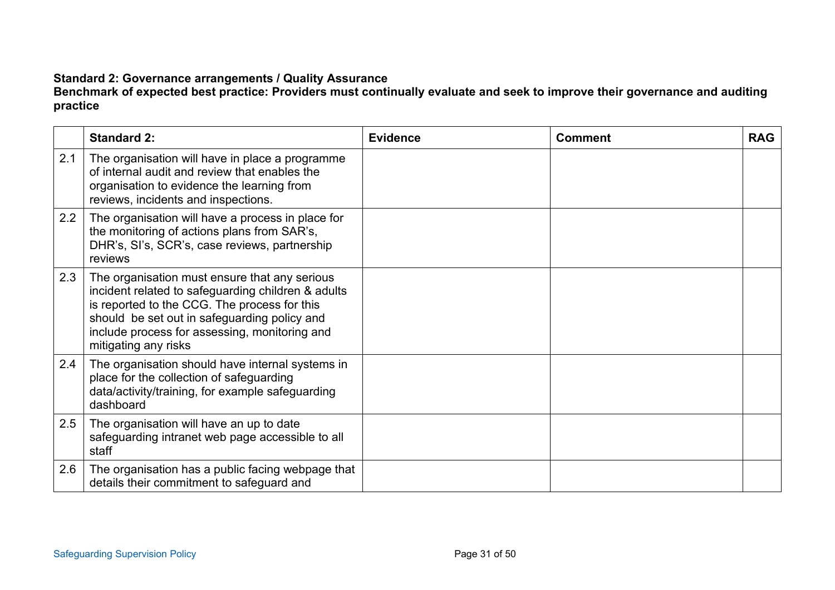# **Standard 2: Governance arrangements / Quality Assurance**

**Benchmark of expected best practice: Providers must continually evaluate and seek to improve their governance and auditing practice**

|     | <b>Standard 2:</b>                                                                                                                                                                                                                                                           | <b>Evidence</b> | <b>Comment</b> | <b>RAG</b> |
|-----|------------------------------------------------------------------------------------------------------------------------------------------------------------------------------------------------------------------------------------------------------------------------------|-----------------|----------------|------------|
| 2.1 | The organisation will have in place a programme<br>of internal audit and review that enables the<br>organisation to evidence the learning from<br>reviews, incidents and inspections.                                                                                        |                 |                |            |
| 2.2 | The organisation will have a process in place for<br>the monitoring of actions plans from SAR's,<br>DHR's, SI's, SCR's, case reviews, partnership<br>reviews                                                                                                                 |                 |                |            |
| 2.3 | The organisation must ensure that any serious<br>incident related to safeguarding children & adults<br>is reported to the CCG. The process for this<br>should be set out in safeguarding policy and<br>include process for assessing, monitoring and<br>mitigating any risks |                 |                |            |
| 2.4 | The organisation should have internal systems in<br>place for the collection of safeguarding<br>data/activity/training, for example safeguarding<br>dashboard                                                                                                                |                 |                |            |
| 2.5 | The organisation will have an up to date<br>safeguarding intranet web page accessible to all<br>staff                                                                                                                                                                        |                 |                |            |
| 2.6 | The organisation has a public facing webpage that<br>details their commitment to safeguard and                                                                                                                                                                               |                 |                |            |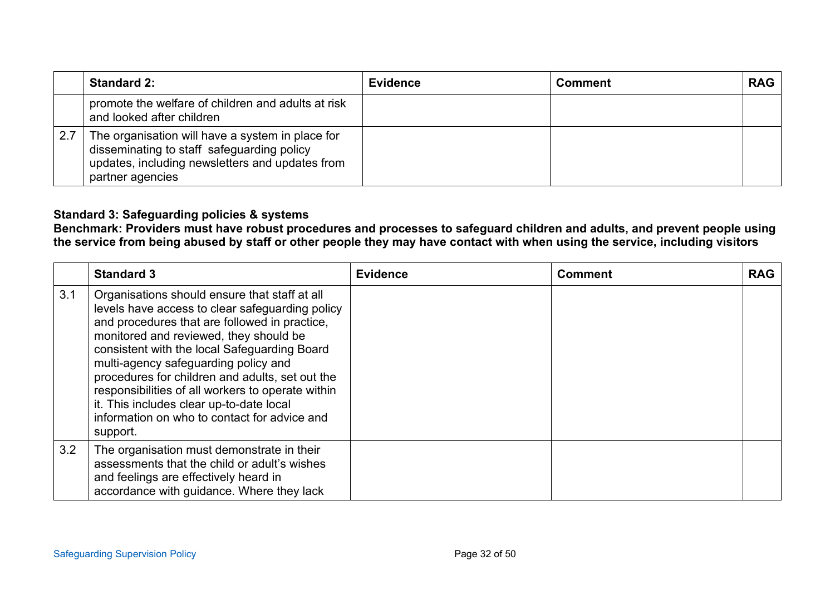|     | <b>Standard 2:</b>                                                                                                                                                    | <b>Evidence</b> | <b>Comment</b> | <b>RAG</b> |
|-----|-----------------------------------------------------------------------------------------------------------------------------------------------------------------------|-----------------|----------------|------------|
|     | promote the welfare of children and adults at risk<br>and looked after children                                                                                       |                 |                |            |
| 2.7 | The organisation will have a system in place for<br>disseminating to staff safeguarding policy<br>updates, including newsletters and updates from<br>partner agencies |                 |                |            |

## **Standard 3: Safeguarding policies & systems**

**Benchmark: Providers must have robust procedures and processes to safeguard children and adults, and prevent people using the service from being abused by staff or other people they may have contact with when using the service, including visitors**

|     | <b>Standard 3</b>                                                                                                                                                                                                                                                                                                                                                                                                                                                                                   | <b>Evidence</b> | <b>Comment</b> | <b>RAG</b> |
|-----|-----------------------------------------------------------------------------------------------------------------------------------------------------------------------------------------------------------------------------------------------------------------------------------------------------------------------------------------------------------------------------------------------------------------------------------------------------------------------------------------------------|-----------------|----------------|------------|
| 3.1 | Organisations should ensure that staff at all<br>levels have access to clear safeguarding policy<br>and procedures that are followed in practice,<br>monitored and reviewed, they should be<br>consistent with the local Safeguarding Board<br>multi-agency safeguarding policy and<br>procedures for children and adults, set out the<br>responsibilities of all workers to operate within<br>it. This includes clear up-to-date local<br>information on who to contact for advice and<br>support. |                 |                |            |
| 3.2 | The organisation must demonstrate in their<br>assessments that the child or adult's wishes<br>and feelings are effectively heard in<br>accordance with guidance. Where they lack                                                                                                                                                                                                                                                                                                                    |                 |                |            |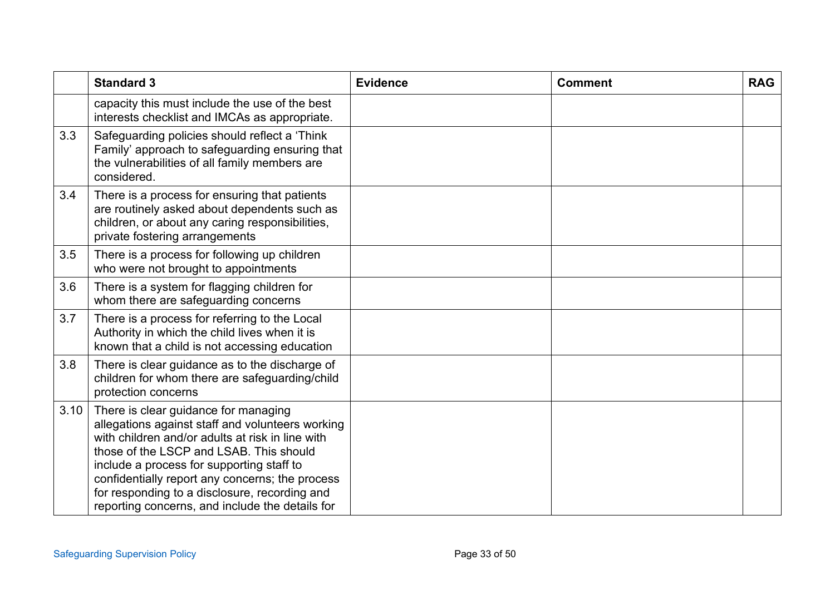|      | <b>Standard 3</b>                                                                                                                                                                                                                                                                                                                                                                           | <b>Evidence</b> | <b>Comment</b> | <b>RAG</b> |
|------|---------------------------------------------------------------------------------------------------------------------------------------------------------------------------------------------------------------------------------------------------------------------------------------------------------------------------------------------------------------------------------------------|-----------------|----------------|------------|
|      | capacity this must include the use of the best<br>interests checklist and IMCAs as appropriate.                                                                                                                                                                                                                                                                                             |                 |                |            |
| 3.3  | Safeguarding policies should reflect a 'Think<br>Family' approach to safeguarding ensuring that<br>the vulnerabilities of all family members are<br>considered.                                                                                                                                                                                                                             |                 |                |            |
| 3.4  | There is a process for ensuring that patients<br>are routinely asked about dependents such as<br>children, or about any caring responsibilities,<br>private fostering arrangements                                                                                                                                                                                                          |                 |                |            |
| 3.5  | There is a process for following up children<br>who were not brought to appointments                                                                                                                                                                                                                                                                                                        |                 |                |            |
| 3.6  | There is a system for flagging children for<br>whom there are safeguarding concerns                                                                                                                                                                                                                                                                                                         |                 |                |            |
| 3.7  | There is a process for referring to the Local<br>Authority in which the child lives when it is<br>known that a child is not accessing education                                                                                                                                                                                                                                             |                 |                |            |
| 3.8  | There is clear guidance as to the discharge of<br>children for whom there are safeguarding/child<br>protection concerns                                                                                                                                                                                                                                                                     |                 |                |            |
| 3.10 | There is clear guidance for managing<br>allegations against staff and volunteers working<br>with children and/or adults at risk in line with<br>those of the LSCP and LSAB. This should<br>include a process for supporting staff to<br>confidentially report any concerns; the process<br>for responding to a disclosure, recording and<br>reporting concerns, and include the details for |                 |                |            |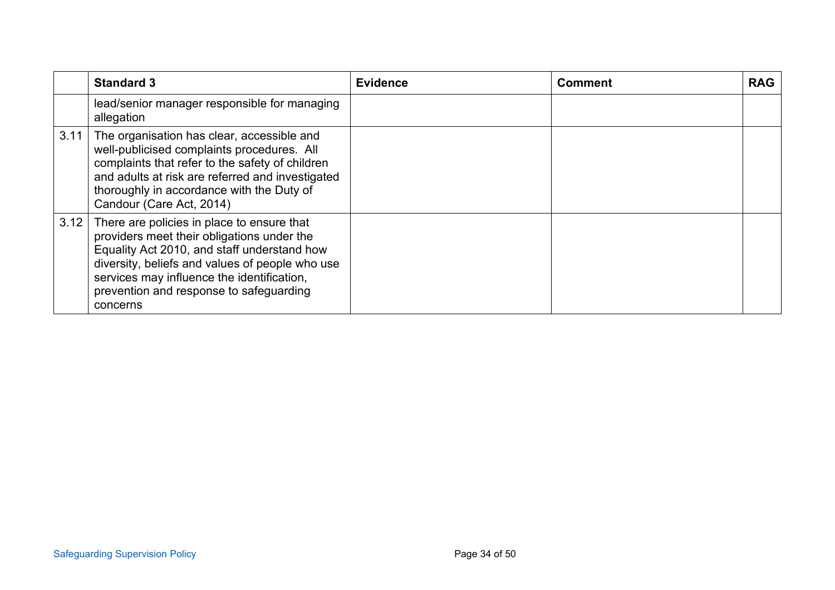|      | <b>Standard 3</b>                                                                                                                                                                                                                                                                               | <b>Evidence</b> | <b>Comment</b> | <b>RAG</b> |
|------|-------------------------------------------------------------------------------------------------------------------------------------------------------------------------------------------------------------------------------------------------------------------------------------------------|-----------------|----------------|------------|
|      | lead/senior manager responsible for managing<br>allegation                                                                                                                                                                                                                                      |                 |                |            |
| 3.11 | The organisation has clear, accessible and<br>well-publicised complaints procedures. All<br>complaints that refer to the safety of children<br>and adults at risk are referred and investigated<br>thoroughly in accordance with the Duty of<br>Candour (Care Act, 2014)                        |                 |                |            |
| 3.12 | There are policies in place to ensure that<br>providers meet their obligations under the<br>Equality Act 2010, and staff understand how<br>diversity, beliefs and values of people who use<br>services may influence the identification,<br>prevention and response to safeguarding<br>concerns |                 |                |            |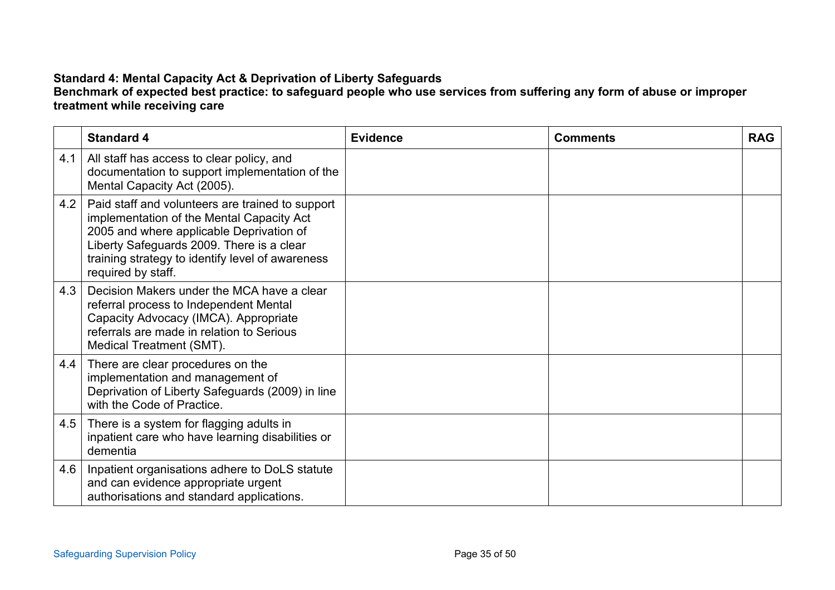# **Standard 4: Mental Capacity Act & Deprivation of Liberty Safeguards**

#### **Benchmark of expected best practice: to safeguard people who use services from suffering any form of abuse or improper treatment while receiving care**

|     | <b>Standard 4</b>                                                                                                                                                                                                                                                | <b>Evidence</b> | <b>Comments</b> | <b>RAG</b> |
|-----|------------------------------------------------------------------------------------------------------------------------------------------------------------------------------------------------------------------------------------------------------------------|-----------------|-----------------|------------|
| 4.1 | All staff has access to clear policy, and<br>documentation to support implementation of the<br>Mental Capacity Act (2005).                                                                                                                                       |                 |                 |            |
| 4.2 | Paid staff and volunteers are trained to support<br>implementation of the Mental Capacity Act<br>2005 and where applicable Deprivation of<br>Liberty Safeguards 2009. There is a clear<br>training strategy to identify level of awareness<br>required by staff. |                 |                 |            |
| 4.3 | Decision Makers under the MCA have a clear<br>referral process to Independent Mental<br>Capacity Advocacy (IMCA). Appropriate<br>referrals are made in relation to Serious<br>Medical Treatment (SMT).                                                           |                 |                 |            |
| 4.4 | There are clear procedures on the<br>implementation and management of<br>Deprivation of Liberty Safeguards (2009) in line<br>with the Code of Practice.                                                                                                          |                 |                 |            |
| 4.5 | There is a system for flagging adults in<br>inpatient care who have learning disabilities or<br>dementia                                                                                                                                                         |                 |                 |            |
| 4.6 | Inpatient organisations adhere to DoLS statute<br>and can evidence appropriate urgent<br>authorisations and standard applications.                                                                                                                               |                 |                 |            |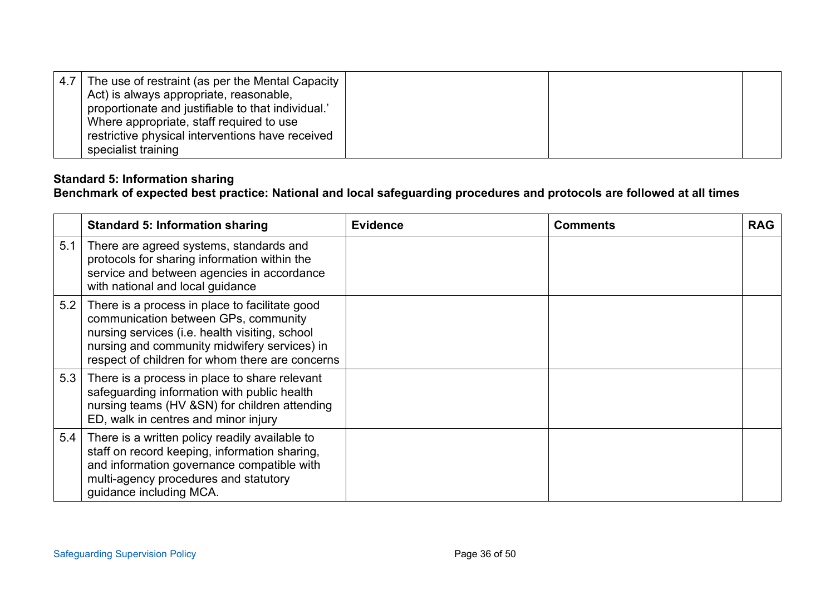| 4.7   The use of restraint (as per the Mental Capacity<br>Act) is always appropriate, reasonable,<br>proportionate and justifiable to that individual.'<br>Where appropriate, staff required to use |  |  |
|-----------------------------------------------------------------------------------------------------------------------------------------------------------------------------------------------------|--|--|
| restrictive physical interventions have received<br>specialist training                                                                                                                             |  |  |

## **Standard 5: Information sharing**

## **Benchmark of expected best practice: National and local safeguarding procedures and protocols are followed at all times**

|     | <b>Standard 5: Information sharing</b>                                                                                                                                                                                                      | <b>Evidence</b> | <b>Comments</b> | <b>RAG</b> |
|-----|---------------------------------------------------------------------------------------------------------------------------------------------------------------------------------------------------------------------------------------------|-----------------|-----------------|------------|
| 5.1 | There are agreed systems, standards and<br>protocols for sharing information within the<br>service and between agencies in accordance<br>with national and local guidance                                                                   |                 |                 |            |
| 5.2 | There is a process in place to facilitate good<br>communication between GPs, community<br>nursing services (i.e. health visiting, school<br>nursing and community midwifery services) in<br>respect of children for whom there are concerns |                 |                 |            |
| 5.3 | There is a process in place to share relevant<br>safeguarding information with public health<br>nursing teams (HV &SN) for children attending<br>ED, walk in centres and minor injury                                                       |                 |                 |            |
| 5.4 | There is a written policy readily available to<br>staff on record keeping, information sharing,<br>and information governance compatible with<br>multi-agency procedures and statutory<br>guidance including MCA.                           |                 |                 |            |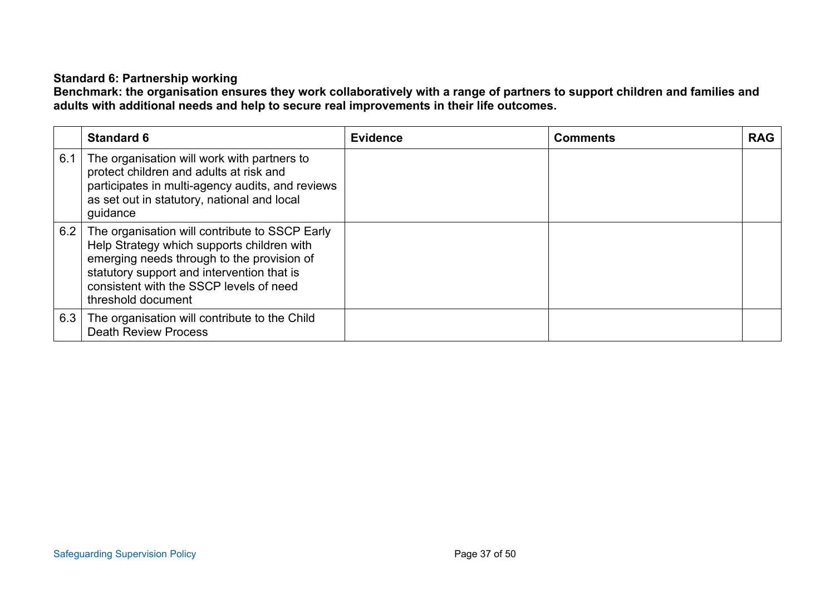## **Standard 6: Partnership working**

**Benchmark: the organisation ensures they work collaboratively with a range of partners to support children and families and adults with additional needs and help to secure real improvements in their life outcomes.**

|     | <b>Standard 6</b>                                                                                                                                                                                                                                         | <b>Evidence</b> | <b>Comments</b> | <b>RAG</b> |
|-----|-----------------------------------------------------------------------------------------------------------------------------------------------------------------------------------------------------------------------------------------------------------|-----------------|-----------------|------------|
| 6.1 | The organisation will work with partners to<br>protect children and adults at risk and<br>participates in multi-agency audits, and reviews<br>as set out in statutory, national and local<br>guidance                                                     |                 |                 |            |
| 6.2 | The organisation will contribute to SSCP Early<br>Help Strategy which supports children with<br>emerging needs through to the provision of<br>statutory support and intervention that is<br>consistent with the SSCP levels of need<br>threshold document |                 |                 |            |
| 6.3 | The organisation will contribute to the Child<br><b>Death Review Process</b>                                                                                                                                                                              |                 |                 |            |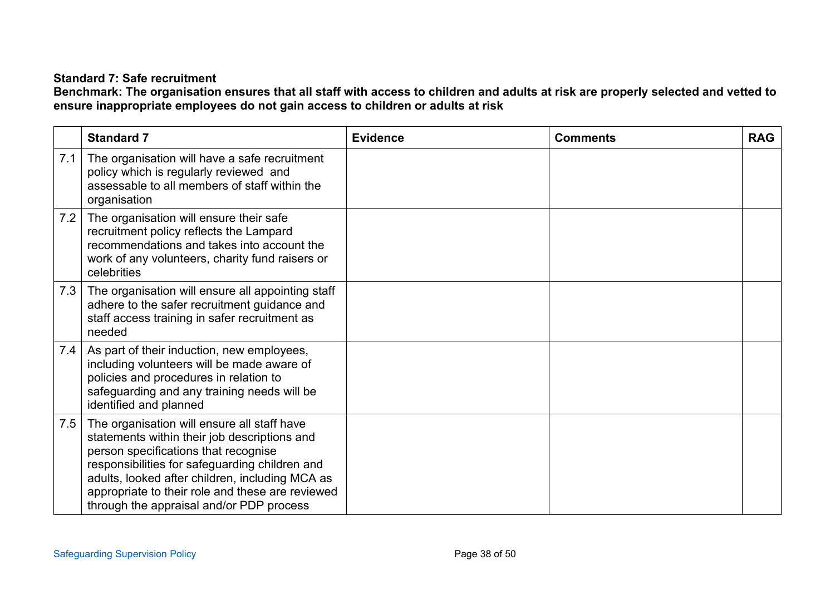## **Standard 7: Safe recruitment**

**Benchmark: The organisation ensures that all staff with access to children and adults at risk are properly selected and vetted to ensure inappropriate employees do not gain access to children or adults at risk**

|     | <b>Standard 7</b>                                                                                                                                                                                                                                                                                                                        | <b>Evidence</b> | <b>Comments</b> | <b>RAG</b> |
|-----|------------------------------------------------------------------------------------------------------------------------------------------------------------------------------------------------------------------------------------------------------------------------------------------------------------------------------------------|-----------------|-----------------|------------|
| 7.1 | The organisation will have a safe recruitment<br>policy which is regularly reviewed and<br>assessable to all members of staff within the<br>organisation                                                                                                                                                                                 |                 |                 |            |
| 7.2 | The organisation will ensure their safe<br>recruitment policy reflects the Lampard<br>recommendations and takes into account the<br>work of any volunteers, charity fund raisers or<br>celebrities                                                                                                                                       |                 |                 |            |
| 7.3 | The organisation will ensure all appointing staff<br>adhere to the safer recruitment guidance and<br>staff access training in safer recruitment as<br>needed                                                                                                                                                                             |                 |                 |            |
| 7.4 | As part of their induction, new employees,<br>including volunteers will be made aware of<br>policies and procedures in relation to<br>safeguarding and any training needs will be<br>identified and planned                                                                                                                              |                 |                 |            |
| 7.5 | The organisation will ensure all staff have<br>statements within their job descriptions and<br>person specifications that recognise<br>responsibilities for safeguarding children and<br>adults, looked after children, including MCA as<br>appropriate to their role and these are reviewed<br>through the appraisal and/or PDP process |                 |                 |            |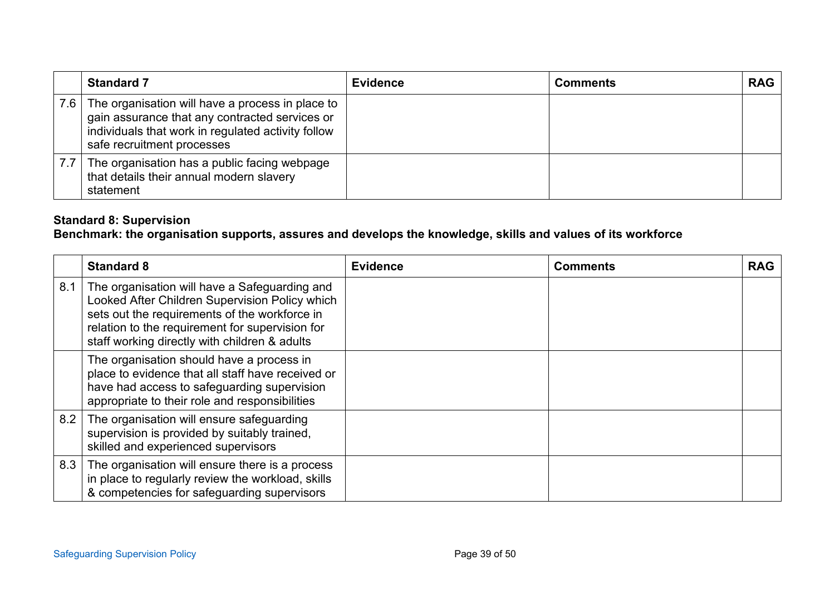| <b>Standard 7</b>                                                                                                                                                                          | <b>Evidence</b> | <b>Comments</b> | <b>RAG</b> |
|--------------------------------------------------------------------------------------------------------------------------------------------------------------------------------------------|-----------------|-----------------|------------|
| 7.6 The organisation will have a process in place to<br>gain assurance that any contracted services or<br>individuals that work in regulated activity follow<br>safe recruitment processes |                 |                 |            |
| 7.7 The organisation has a public facing webpage<br>that details their annual modern slavery<br>statement                                                                                  |                 |                 |            |

## **Standard 8: Supervision**

# **Benchmark: the organisation supports, assures and develops the knowledge, skills and values of its workforce**

|     | <b>Standard 8</b>                                                                                                                                                                                                                                    | <b>Evidence</b> | <b>Comments</b> | <b>RAG</b> |
|-----|------------------------------------------------------------------------------------------------------------------------------------------------------------------------------------------------------------------------------------------------------|-----------------|-----------------|------------|
| 8.1 | The organisation will have a Safeguarding and<br>Looked After Children Supervision Policy which<br>sets out the requirements of the workforce in<br>relation to the requirement for supervision for<br>staff working directly with children & adults |                 |                 |            |
|     | The organisation should have a process in<br>place to evidence that all staff have received or<br>have had access to safeguarding supervision<br>appropriate to their role and responsibilities                                                      |                 |                 |            |
| 8.2 | The organisation will ensure safeguarding<br>supervision is provided by suitably trained,<br>skilled and experienced supervisors                                                                                                                     |                 |                 |            |
|     | 8.3 The organisation will ensure there is a process<br>in place to regularly review the workload, skills<br>& competencies for safeguarding supervisors                                                                                              |                 |                 |            |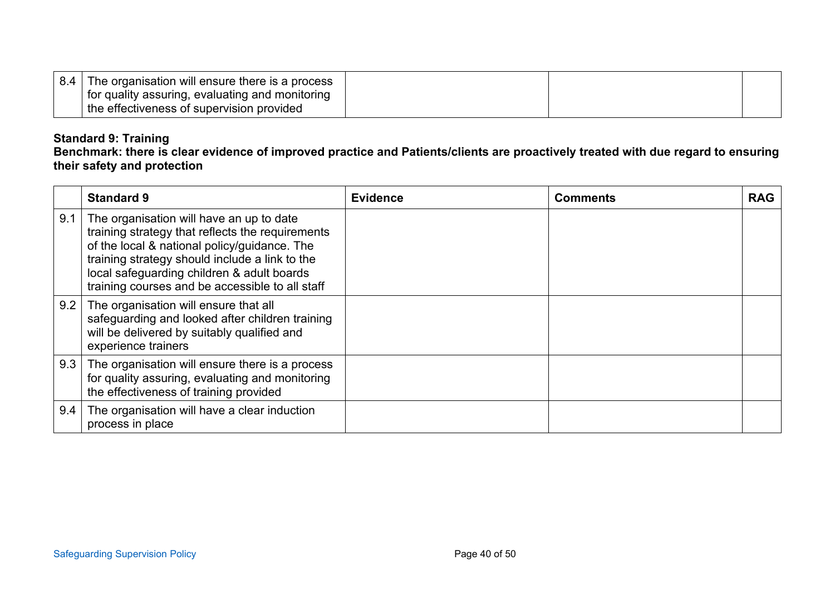| 8.4 | The organisation will ensure there is a process |  |  |
|-----|-------------------------------------------------|--|--|
|     | for quality assuring, evaluating and monitoring |  |  |
|     | the effectiveness of supervision provided       |  |  |

## **Standard 9: Training**

**Benchmark: there is clear evidence of improved practice and Patients/clients are proactively treated with due regard to ensuring their safety and protection**

|     | <b>Standard 9</b>                                                                                                                                                                                                                                                                               | <b>Evidence</b> | <b>Comments</b> | <b>RAG</b> |
|-----|-------------------------------------------------------------------------------------------------------------------------------------------------------------------------------------------------------------------------------------------------------------------------------------------------|-----------------|-----------------|------------|
| 9.1 | The organisation will have an up to date<br>training strategy that reflects the requirements<br>of the local & national policy/guidance. The<br>training strategy should include a link to the<br>local safeguarding children & adult boards<br>training courses and be accessible to all staff |                 |                 |            |
|     | 9.2 The organisation will ensure that all<br>safeguarding and looked after children training<br>will be delivered by suitably qualified and<br>experience trainers                                                                                                                              |                 |                 |            |
| 9.3 | The organisation will ensure there is a process<br>for quality assuring, evaluating and monitoring<br>the effectiveness of training provided                                                                                                                                                    |                 |                 |            |
| 9.4 | The organisation will have a clear induction<br>process in place                                                                                                                                                                                                                                |                 |                 |            |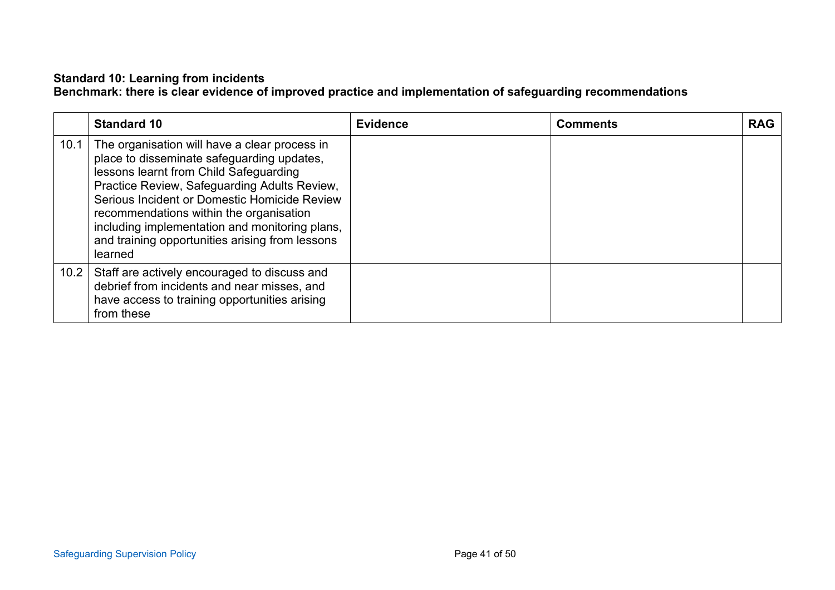#### **Standard 10: Learning from incidents Benchmark: there is clear evidence of improved practice and implementation of safeguarding recommendations**

|      | <b>Standard 10</b>                                                                                                                                                                                                                                                                                                                                                                               | <b>Evidence</b> | <b>Comments</b> | <b>RAG</b> |
|------|--------------------------------------------------------------------------------------------------------------------------------------------------------------------------------------------------------------------------------------------------------------------------------------------------------------------------------------------------------------------------------------------------|-----------------|-----------------|------------|
| 10.1 | The organisation will have a clear process in<br>place to disseminate safeguarding updates,<br>lessons learnt from Child Safeguarding<br>Practice Review, Safeguarding Adults Review,<br>Serious Incident or Domestic Homicide Review<br>recommendations within the organisation<br>including implementation and monitoring plans,<br>and training opportunities arising from lessons<br>learned |                 |                 |            |
| 10.2 | Staff are actively encouraged to discuss and<br>debrief from incidents and near misses, and<br>have access to training opportunities arising<br>from these                                                                                                                                                                                                                                       |                 |                 |            |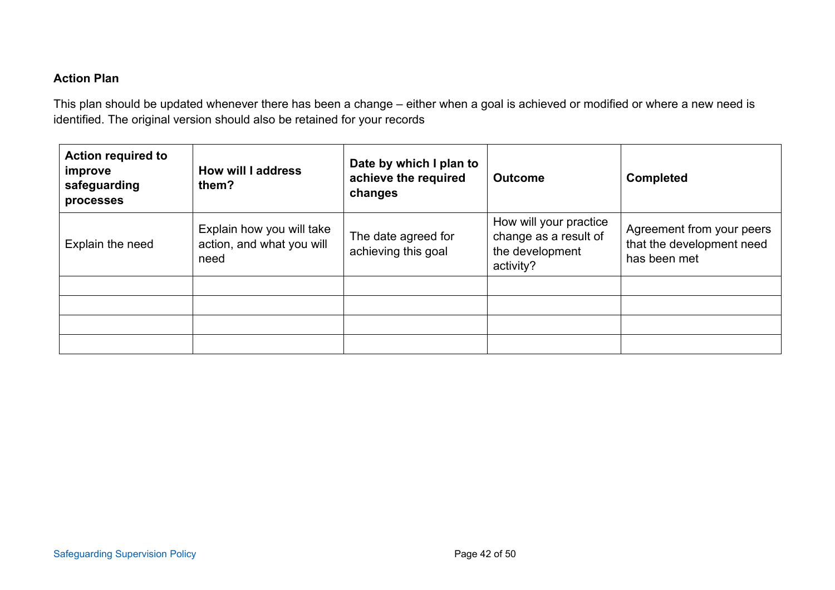# **Action Plan**

This plan should be updated whenever there has been a change – either when a goal is achieved or modified or where a new need is identified. The original version should also be retained for your records

| <b>Action required to</b><br>improve<br>safeguarding<br>processes | Date by which I plan to<br><b>How will I address</b><br>achieve the required<br><b>Outcome</b><br>them?<br>changes |                                            | <b>Completed</b>                                                                |                                                                        |
|-------------------------------------------------------------------|--------------------------------------------------------------------------------------------------------------------|--------------------------------------------|---------------------------------------------------------------------------------|------------------------------------------------------------------------|
| Explain the need                                                  | Explain how you will take<br>action, and what you will<br>need                                                     | The date agreed for<br>achieving this goal | How will your practice<br>change as a result of<br>the development<br>activity? | Agreement from your peers<br>that the development need<br>has been met |
|                                                                   |                                                                                                                    |                                            |                                                                                 |                                                                        |
|                                                                   |                                                                                                                    |                                            |                                                                                 |                                                                        |
|                                                                   |                                                                                                                    |                                            |                                                                                 |                                                                        |
|                                                                   |                                                                                                                    |                                            |                                                                                 |                                                                        |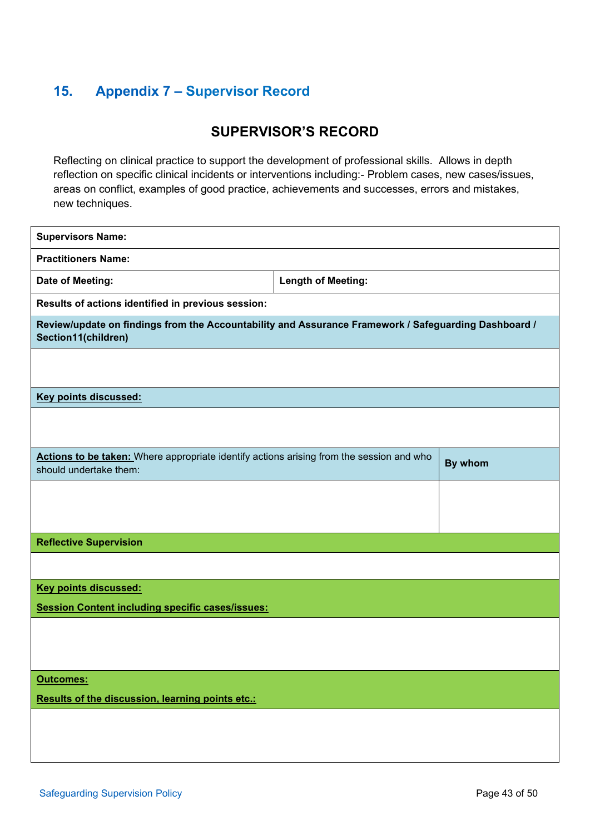# <span id="page-42-0"></span>**15. Appendix 7 – Supervisor Record**

# **SUPERVISOR'S RECORD**

Reflecting on clinical practice to support the development of professional skills. Allows in depth reflection on specific clinical incidents or interventions including:- Problem cases, new cases/issues, areas on conflict, examples of good practice, achievements and successes, errors and mistakes, new techniques.

| <b>Supervisors Name:</b>                                                                                                    |  |         |  |  |
|-----------------------------------------------------------------------------------------------------------------------------|--|---------|--|--|
| <b>Practitioners Name:</b>                                                                                                  |  |         |  |  |
| Date of Meeting:<br><b>Length of Meeting:</b>                                                                               |  |         |  |  |
| Results of actions identified in previous session:                                                                          |  |         |  |  |
| Review/update on findings from the Accountability and Assurance Framework / Safeguarding Dashboard /<br>Section11(children) |  |         |  |  |
|                                                                                                                             |  |         |  |  |
| <b>Key points discussed:</b>                                                                                                |  |         |  |  |
|                                                                                                                             |  |         |  |  |
| Actions to be taken: Where appropriate identify actions arising from the session and who<br>should undertake them:          |  | By whom |  |  |
|                                                                                                                             |  |         |  |  |
| <b>Reflective Supervision</b>                                                                                               |  |         |  |  |
|                                                                                                                             |  |         |  |  |
| <b>Key points discussed:</b>                                                                                                |  |         |  |  |
| <b>Session Content including specific cases/issues:</b>                                                                     |  |         |  |  |
|                                                                                                                             |  |         |  |  |
| <b>Outcomes:</b><br>Results of the discussion, learning points etc.:                                                        |  |         |  |  |
|                                                                                                                             |  |         |  |  |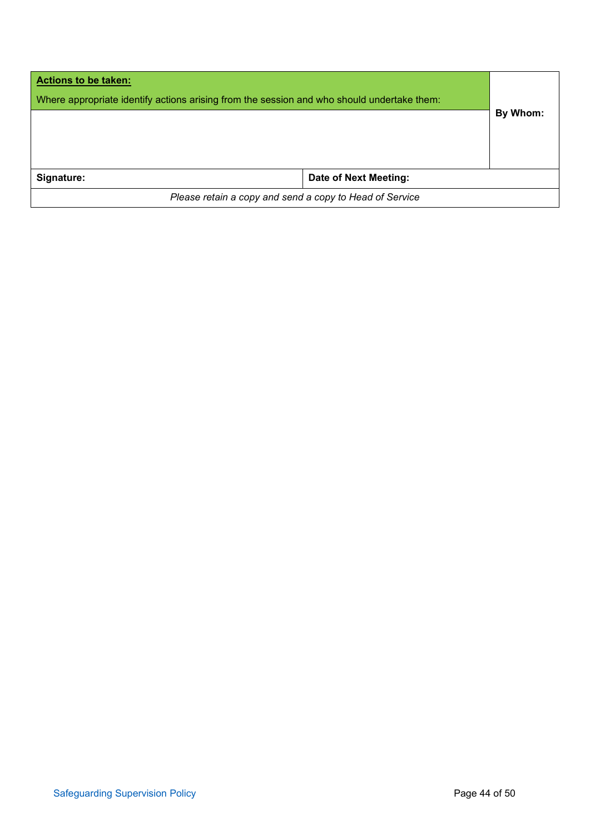| <b>Actions to be taken:</b><br>Where appropriate identify actions arising from the session and who should undertake them: |                       |          |  |
|---------------------------------------------------------------------------------------------------------------------------|-----------------------|----------|--|
|                                                                                                                           |                       | By Whom: |  |
| Signature:                                                                                                                | Date of Next Meeting: |          |  |
| Please retain a copy and send a copy to Head of Service                                                                   |                       |          |  |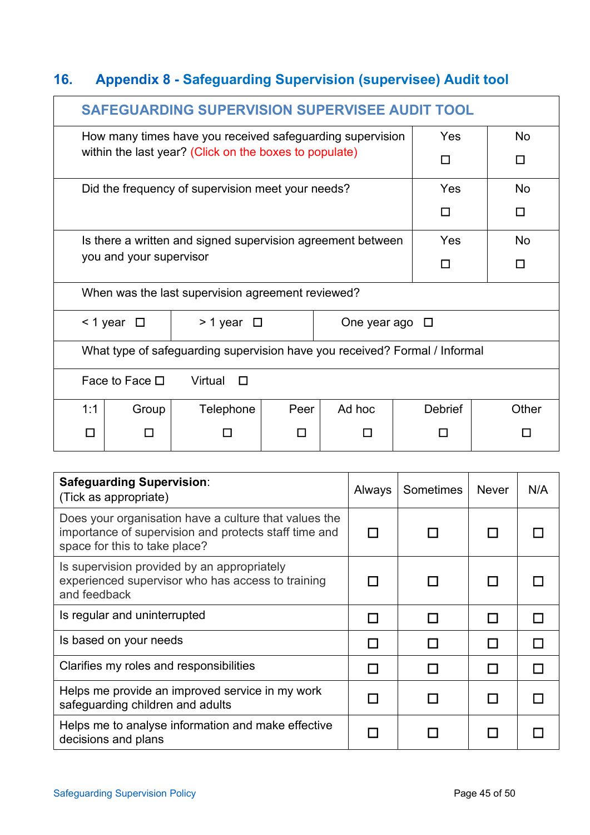# <span id="page-44-0"></span>**16. Appendix 8 - Safeguarding Supervision (supervisee) Audit tool**

|     | SAFEGUARDING SUPERVISION SUPERVISEE AUDIT TOOL |                                                                            |      |                        |                |       |  |
|-----|------------------------------------------------|----------------------------------------------------------------------------|------|------------------------|----------------|-------|--|
|     |                                                | How many times have you received safeguarding supervision                  |      |                        | Yes            | No    |  |
|     |                                                | within the last year? (Click on the boxes to populate)                     |      |                        | П              | П     |  |
|     |                                                | Did the frequency of supervision meet your needs?                          |      |                        | Yes            | No    |  |
|     |                                                |                                                                            |      |                        | П              | П     |  |
|     |                                                | Is there a written and signed supervision agreement between                |      |                        | Yes            | No    |  |
|     | you and your supervisor                        |                                                                            |      |                        | П              | П     |  |
|     |                                                | When was the last supervision agreement reviewed?                          |      |                        |                |       |  |
|     | $\leq$ 1 year $\Box$                           | $> 1$ year $\Box$                                                          |      | One year ago $\square$ |                |       |  |
|     |                                                | What type of safeguarding supervision have you received? Formal / Informal |      |                        |                |       |  |
|     | Face to Face $\Box$<br>Virtual<br>П            |                                                                            |      |                        |                |       |  |
| 1:1 | Group                                          | Telephone                                                                  | Peer | Ad hoc                 | <b>Debrief</b> | Other |  |
| П   | П                                              |                                                                            |      |                        |                |       |  |

| <b>Safeguarding Supervision:</b><br>(Tick as appropriate)                                                                                       | Always | Sometimes | <b>Never</b> | N/A |
|-------------------------------------------------------------------------------------------------------------------------------------------------|--------|-----------|--------------|-----|
| Does your organisation have a culture that values the<br>importance of supervision and protects staff time and<br>space for this to take place? |        |           |              |     |
| Is supervision provided by an appropriately<br>experienced supervisor who has access to training<br>and feedback                                |        |           |              |     |
| Is regular and uninterrupted                                                                                                                    |        |           |              |     |
| Is based on your needs                                                                                                                          |        |           |              |     |
| Clarifies my roles and responsibilities                                                                                                         |        |           |              |     |
| Helps me provide an improved service in my work<br>safeguarding children and adults                                                             |        |           |              |     |
| Helps me to analyse information and make effective<br>decisions and plans                                                                       |        |           |              |     |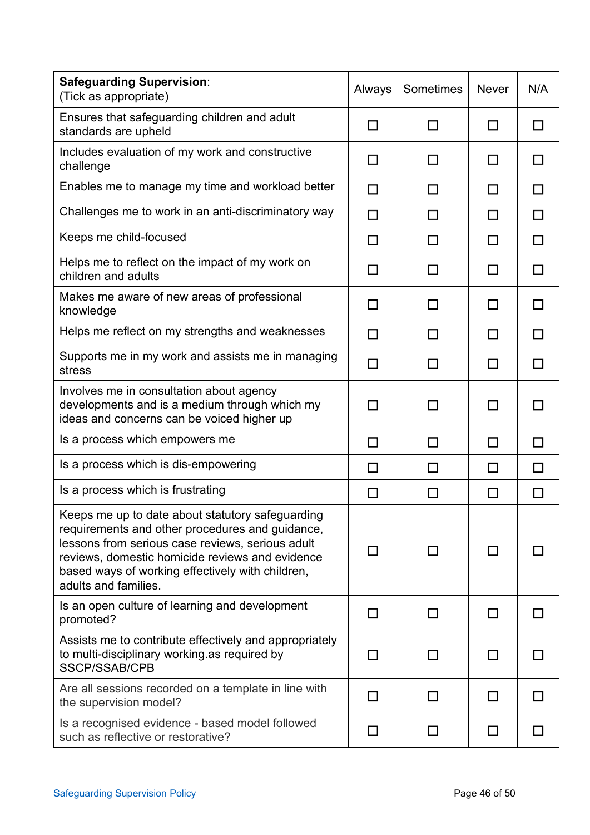| <b>Safeguarding Supervision:</b><br>(Tick as appropriate)                                                                                                                                                                                                                              | Always | Sometimes | <b>Never</b> | N/A    |
|----------------------------------------------------------------------------------------------------------------------------------------------------------------------------------------------------------------------------------------------------------------------------------------|--------|-----------|--------------|--------|
| Ensures that safeguarding children and adult<br>standards are upheld                                                                                                                                                                                                                   | П      | П         | П            | П      |
| Includes evaluation of my work and constructive<br>challenge                                                                                                                                                                                                                           | ΙI     | $\Box$    | П            | П      |
| Enables me to manage my time and workload better                                                                                                                                                                                                                                       | $\Box$ | $\Box$    | $\Box$       | $\Box$ |
| Challenges me to work in an anti-discriminatory way                                                                                                                                                                                                                                    | $\Box$ | П         | □            | $\Box$ |
| Keeps me child-focused                                                                                                                                                                                                                                                                 | $\Box$ | □         | □            | $\Box$ |
| Helps me to reflect on the impact of my work on<br>children and adults                                                                                                                                                                                                                 | $\Box$ | П         | П            | □      |
| Makes me aware of new areas of professional<br>knowledge                                                                                                                                                                                                                               | $\Box$ | П         | П            | П      |
| Helps me reflect on my strengths and weaknesses                                                                                                                                                                                                                                        | П      | П         | П            | П      |
| Supports me in my work and assists me in managing<br>stress                                                                                                                                                                                                                            | П      | ΙI        | ΙI           | П      |
| Involves me in consultation about agency<br>developments and is a medium through which my<br>ideas and concerns can be voiced higher up                                                                                                                                                | ΙI     | П         | П            | П      |
| Is a process which empowers me                                                                                                                                                                                                                                                         | $\Box$ | П         | П            | $\Box$ |
| Is a process which is dis-empowering                                                                                                                                                                                                                                                   | $\Box$ | П         | □            | $\Box$ |
| Is a process which is frustrating                                                                                                                                                                                                                                                      | $\Box$ | □         | □            | $\Box$ |
| Keeps me up to date about statutory safeguarding<br>requirements and other procedures and guidance,<br>lessons from serious case reviews, serious adult<br>reviews, domestic homicide reviews and evidence<br>based ways of working effectively with children,<br>adults and families. | l 1    | ΙI        | l 1          |        |
| Is an open culture of learning and development<br>promoted?                                                                                                                                                                                                                            | ΙI     | П         | ΙI           | П      |
| Assists me to contribute effectively and appropriately<br>to multi-disciplinary working as required by<br>SSCP/SSAB/CPB                                                                                                                                                                | П      | $\Box$    | l 1          | H      |
| Are all sessions recorded on a template in line with<br>the supervision model?                                                                                                                                                                                                         | П      | П         | l 1          | П      |
| Is a recognised evidence - based model followed<br>such as reflective or restorative?                                                                                                                                                                                                  | ΙI     | П         | ΙI           | П      |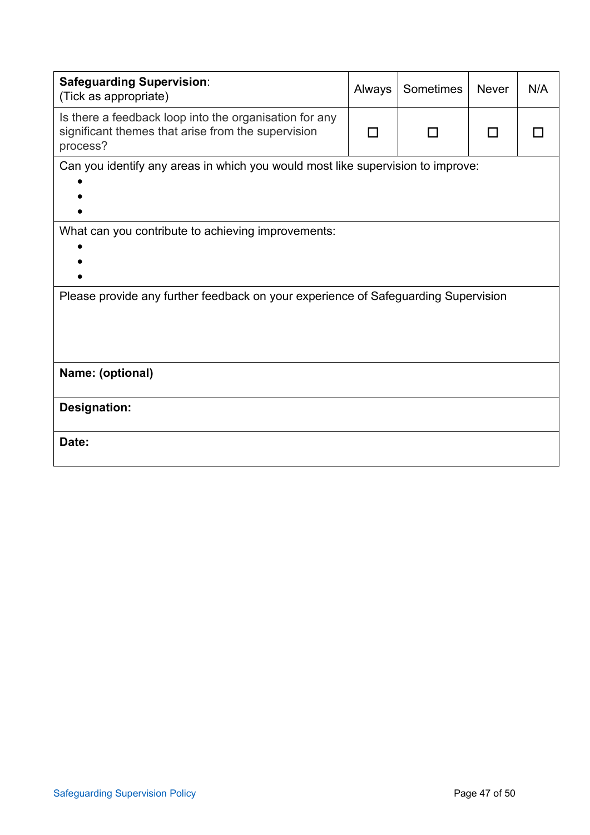| <b>Safeguarding Supervision:</b><br>(Tick as appropriate)                                                                | Always | Sometimes | <b>Never</b> | N/A |
|--------------------------------------------------------------------------------------------------------------------------|--------|-----------|--------------|-----|
| Is there a feedback loop into the organisation for any<br>significant themes that arise from the supervision<br>process? |        |           |              |     |
| Can you identify any areas in which you would most like supervision to improve:                                          |        |           |              |     |
| What can you contribute to achieving improvements:                                                                       |        |           |              |     |
| Please provide any further feedback on your experience of Safeguarding Supervision                                       |        |           |              |     |
| Name: (optional)                                                                                                         |        |           |              |     |
| <b>Designation:</b>                                                                                                      |        |           |              |     |
| Date:                                                                                                                    |        |           |              |     |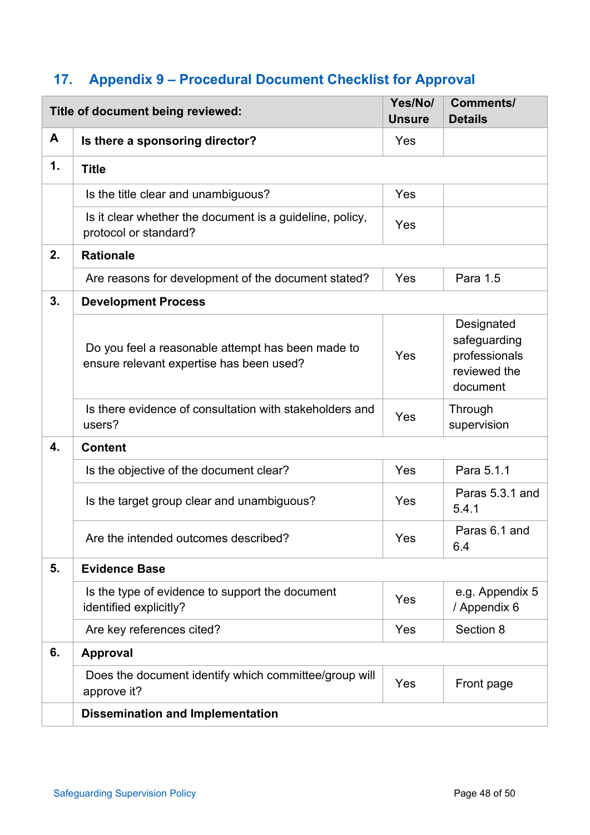# <span id="page-47-0"></span>**17. Appendix 9 – Procedural Document Checklist for Approval**

|    | Title of document being reviewed:                                                             |     | <b>Comments/</b><br><b>Details</b>                                      |
|----|-----------------------------------------------------------------------------------------------|-----|-------------------------------------------------------------------------|
| A  | Is there a sponsoring director?                                                               | Yes |                                                                         |
| 1. | <b>Title</b>                                                                                  |     |                                                                         |
|    | Is the title clear and unambiguous?                                                           | Yes |                                                                         |
|    | Is it clear whether the document is a guideline, policy,<br>protocol or standard?             | Yes |                                                                         |
| 2. | <b>Rationale</b>                                                                              |     |                                                                         |
|    | Are reasons for development of the document stated?                                           | Yes | Para 1.5                                                                |
| 3. | <b>Development Process</b>                                                                    |     |                                                                         |
|    | Do you feel a reasonable attempt has been made to<br>ensure relevant expertise has been used? | Yes | Designated<br>safeguarding<br>professionals<br>reviewed the<br>document |
|    | Is there evidence of consultation with stakeholders and<br>users?                             | Yes | Through<br>supervision                                                  |
| 4. | <b>Content</b>                                                                                |     |                                                                         |
|    | Is the objective of the document clear?                                                       | Yes | Para 5.1.1                                                              |
|    | Is the target group clear and unambiguous?                                                    | Yes | Paras 5.3.1 and<br>5.4.1                                                |
|    | Are the intended outcomes described?                                                          | Yes | Paras 6.1 and<br>6.4                                                    |
| 5. | <b>Evidence Base</b>                                                                          |     |                                                                         |
|    | Is the type of evidence to support the document<br>identified explicitly?                     | Yes | e.g. Appendix 5<br>/ Appendix 6                                         |
|    | Are key references cited?                                                                     | Yes | Section 8                                                               |
| 6. | <b>Approval</b>                                                                               |     |                                                                         |
|    | Does the document identify which committee/group will<br>approve it?                          | Yes | Front page                                                              |
|    | <b>Dissemination and Implementation</b>                                                       |     |                                                                         |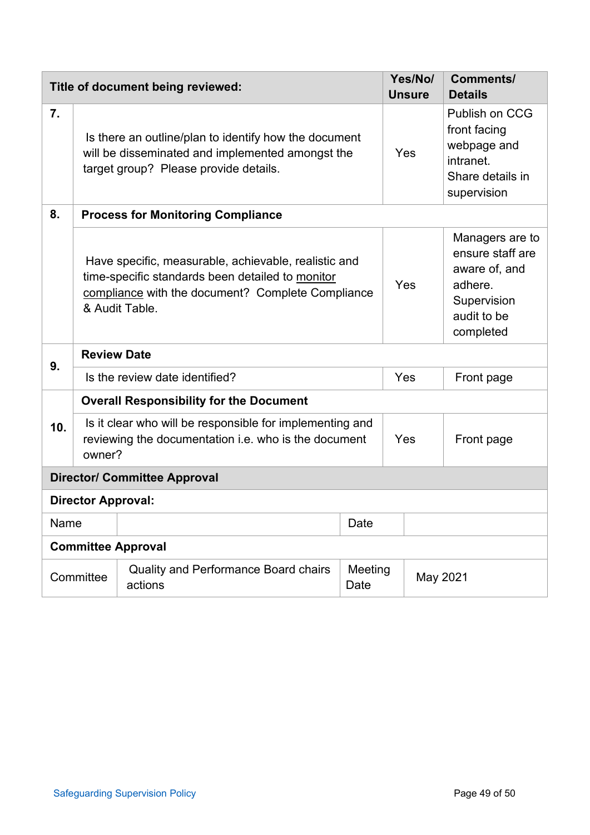| Title of document being reviewed:   |                                                                                                                                                                                 |                                                        |                 |          | Yes/No/<br><b>Unsure</b> | <b>Comments/</b><br><b>Details</b>                                                                         |  |  |  |
|-------------------------------------|---------------------------------------------------------------------------------------------------------------------------------------------------------------------------------|--------------------------------------------------------|-----------------|----------|--------------------------|------------------------------------------------------------------------------------------------------------|--|--|--|
| $\overline{7}$ .                    | Is there an outline/plan to identify how the document<br>will be disseminated and implemented amongst the<br>target group? Please provide details.                              |                                                        |                 |          | Yes                      | Publish on CCG<br>front facing<br>webpage and<br>intranet.<br>Share details in<br>supervision              |  |  |  |
| 8.                                  |                                                                                                                                                                                 | <b>Process for Monitoring Compliance</b>               |                 |          |                          |                                                                                                            |  |  |  |
|                                     | Have specific, measurable, achievable, realistic and<br>time-specific standards been detailed to monitor<br>compliance with the document? Complete Compliance<br>& Audit Table. |                                                        |                 | Yes      |                          | Managers are to<br>ensure staff are<br>aware of, and<br>adhere.<br>Supervision<br>audit to be<br>completed |  |  |  |
| 9.                                  | <b>Review Date</b>                                                                                                                                                              |                                                        |                 |          |                          |                                                                                                            |  |  |  |
|                                     | Is the review date identified?                                                                                                                                                  |                                                        |                 | Yes      |                          | Front page                                                                                                 |  |  |  |
|                                     | <b>Overall Responsibility for the Document</b>                                                                                                                                  |                                                        |                 |          |                          |                                                                                                            |  |  |  |
| 10.                                 | Is it clear who will be responsible for implementing and<br>reviewing the documentation i.e. who is the document<br>owner?                                                      |                                                        |                 | Yes      |                          | Front page                                                                                                 |  |  |  |
| <b>Director/ Committee Approval</b> |                                                                                                                                                                                 |                                                        |                 |          |                          |                                                                                                            |  |  |  |
| <b>Director Approval:</b>           |                                                                                                                                                                                 |                                                        |                 |          |                          |                                                                                                            |  |  |  |
| Name                                |                                                                                                                                                                                 |                                                        | Date            |          |                          |                                                                                                            |  |  |  |
| <b>Committee Approval</b>           |                                                                                                                                                                                 |                                                        |                 |          |                          |                                                                                                            |  |  |  |
| Committee                           |                                                                                                                                                                                 | <b>Quality and Performance Board chairs</b><br>actions | Meeting<br>Date | May 2021 |                          |                                                                                                            |  |  |  |